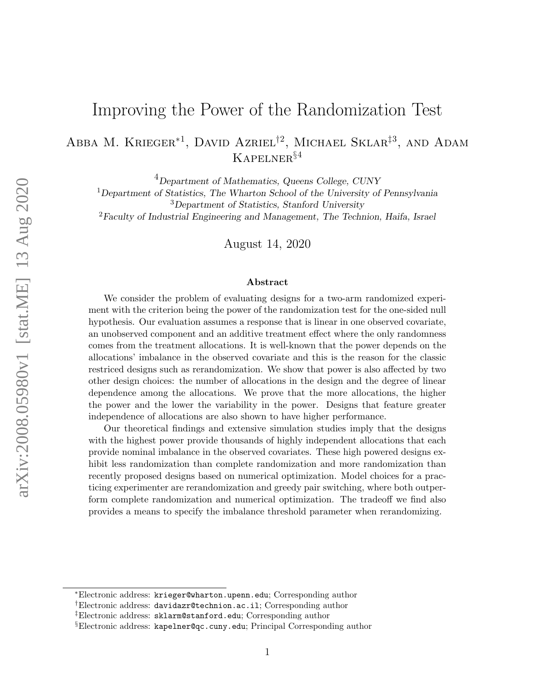# Improving the Power of the Randomization Test

Abba M. Krieger<sup>\*1</sup>, David Azriel<sup>†2</sup>, Michael Sklar<sup>‡3</sup>, and Adam Kapelner§<sup>4</sup>

<sup>4</sup>Department of Mathematics, Queens College, CUNY

<sup>1</sup>Department of Statistics, The Wharton School of the University of Pennsylvania <sup>3</sup>Department of Statistics, Stanford University <sup>2</sup>Faculty of Industrial Engineering and Management, The Technion, Haifa, Israel

August 14, 2020

#### Abstract

We consider the problem of evaluating designs for a two-arm randomized experiment with the criterion being the power of the randomization test for the one-sided null hypothesis. Our evaluation assumes a response that is linear in one observed covariate, an unobserved component and an additive treatment effect where the only randomness comes from the treatment allocations. It is well-known that the power depends on the allocations' imbalance in the observed covariate and this is the reason for the classic restriced designs such as rerandomization. We show that power is also affected by two other design choices: the number of allocations in the design and the degree of linear dependence among the allocations. We prove that the more allocations, the higher the power and the lower the variability in the power. Designs that feature greater independence of allocations are also shown to have higher performance.

Our theoretical findings and extensive simulation studies imply that the designs with the highest power provide thousands of highly independent allocations that each provide nominal imbalance in the observed covariates. These high powered designs exhibit less randomization than complete randomization and more randomization than recently proposed designs based on numerical optimization. Model choices for a practicing experimenter are rerandomization and greedy pair switching, where both outperform complete randomization and numerical optimization. The tradeoff we find also provides a means to specify the imbalance threshold parameter when rerandomizing.

<sup>∗</sup>Electronic address: krieger@wharton.upenn.edu; Corresponding author

<sup>†</sup>Electronic address: davidazr@technion.ac.il; Corresponding author

<sup>‡</sup>Electronic address: sklarm@stanford.edu; Corresponding author

<sup>§</sup>Electronic address: kapelner@qc.cuny.edu; Principal Corresponding author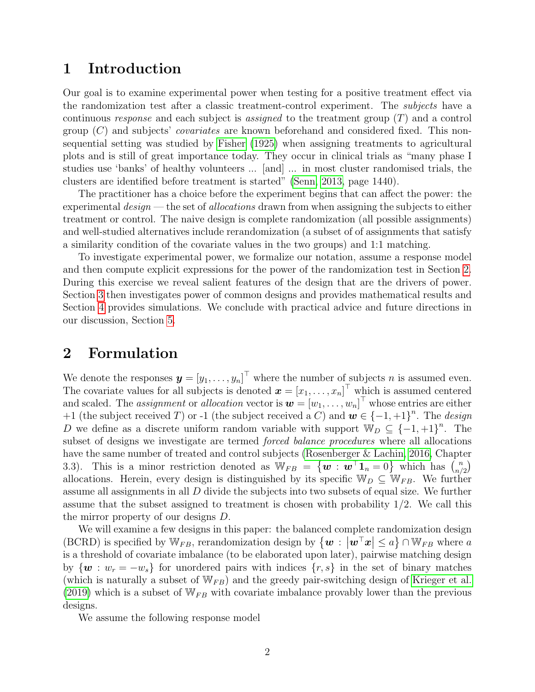## 1 Introduction

Our goal is to examine experimental power when testing for a positive treatment effect via the randomization test after a classic treatment-control experiment. The subjects have a continuous response and each subject is assigned to the treatment group  $(T)$  and a control group  $(C)$  and subjects' *covariates* are known beforehand and considered fixed. This nonsequential setting was studied by [Fisher](#page-14-0) [\(1925\)](#page-14-0) when assigning treatments to agricultural plots and is still of great importance today. They occur in clinical trials as "many phase I studies use 'banks' of healthy volunteers ... [and] ... in most cluster randomised trials, the clusters are identified before treatment is started" [\(Senn, 2013,](#page-15-0) page 1440).

The practitioner has a choice before the experiment begins that can affect the power: the experimental  $design$  — the set of allocations drawn from when assigning the subjects to either treatment or control. The naive design is complete randomization (all possible assignments) and well-studied alternatives include rerandomization (a subset of of assignments that satisfy a similarity condition of the covariate values in the two groups) and 1:1 matching.

To investigate experimental power, we formalize our notation, assume a response model and then compute explicit expressions for the power of the randomization test in Section [2.](#page-1-0) During this exercise we reveal salient features of the design that are the drivers of power. Section [3](#page-4-0) then investigates power of common designs and provides mathematical results and Section [4](#page-8-0) provides simulations. We conclude with practical advice and future directions in our discussion, Section [5.](#page-10-0)

### <span id="page-1-0"></span>2 Formulation

We denote the responses  $\boldsymbol{y} = [y_1, \dots, y_n]^\top$  where the number of subjects n is assumed even. The covariate values for all subjects is denoted  $\boldsymbol{x} = [x_1, \dots, x_n]^\top$  which is assumed centered and scaled. The *assignment* or *allocation* vector is  $\boldsymbol{w} = [w_1, \ldots, w_n]^\top$  whose entries are either +1 (the subject received T) or -1 (the subject received a C) and  $\mathbf{w} \in \{-1, +1\}^n$ . The *design* D we define as a discrete uniform random variable with support  $\mathbb{W}_D \subseteq \{-1, +1\}^n$ . The subset of designs we investigate are termed forced balance procedures where all allocations have the same number of treated and control subjects [\(Rosenberger & Lachin, 2016,](#page-15-1) Chapter 3.3). This is a minor restriction denoted as  $W_{FB} = \{ \boldsymbol{w} : \boldsymbol{w}^{\top} \boldsymbol{1}_n = 0 \}$  which has  $\binom{n}{n}$  $\binom{n}{n/2}$ allocations. Herein, every design is distinguished by its specific  $\mathbb{W}_D \subseteq \mathbb{W}_{FB}$ . We further assume all assignments in all D divide the subjects into two subsets of equal size. We further assume that the subset assigned to treatment is chosen with probability 1/2. We call this the mirror property of our designs D.

We will examine a few designs in this paper: the balanced complete randomization design (BCRD) is specified by  $\mathbb{W}_{FB}$ , rerandomization design by  $\{w : |w^{\top}x| \le a\} \cap \mathbb{W}_{FB}$  where a is a threshold of covariate imbalance (to be elaborated upon later), pairwise matching design by  $\{w : w_r = -w_s\}$  for unordered pairs with indices  $\{r, s\}$  in the set of binary matches (which is naturally a subset of  $W_{FB}$ ) and the greedy pair-switching design of [Krieger et al.](#page-15-2) [\(2019\)](#page-15-2) which is a subset of  $W_{FB}$  with covariate imbalance provably lower than the previous designs.

We assume the following response model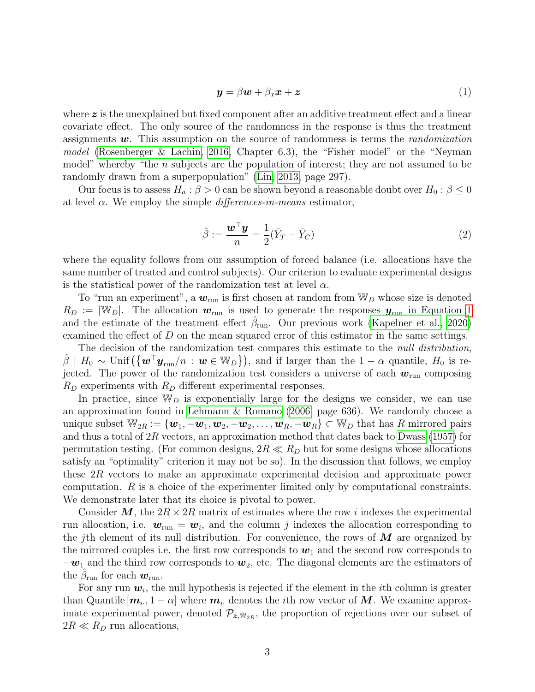<span id="page-2-0"></span>
$$
\mathbf{y} = \beta \mathbf{w} + \beta_x \mathbf{x} + \mathbf{z} \tag{1}
$$

where  $\boldsymbol{z}$  is the unexplained but fixed component after an additive treatment effect and a linear covariate effect. The only source of the randomness in the response is thus the treatment assignments  $w$ . This assumption on the source of randomness is terms the *randomization* model [\(Rosenberger & Lachin, 2016,](#page-15-1) Chapter 6.3), the "Fisher model" or the "Neyman model" whereby "the  $n$  subjects are the population of interest; they are not assumed to be randomly drawn from a superpopulation" [\(Lin, 2013,](#page-15-3) page 297).

Our focus is to assess  $H_a: \beta > 0$  can be shown beyond a reasonable doubt over  $H_0: \beta \leq 0$ at level  $\alpha$ . We employ the simple *differences-in-means* estimator,

$$
\hat{\beta} := \frac{\boldsymbol{w}^\top \boldsymbol{y}}{n} = \frac{1}{2} (\bar{Y}_T - \bar{Y}_C) \tag{2}
$$

where the equality follows from our assumption of forced balance (i.e. allocations have the same number of treated and control subjects). Our criterion to evaluate experimental designs is the statistical power of the randomization test at level  $\alpha$ .

To "run an experiment", a  $w_{run}$  is first chosen at random from  $W_D$  whose size is denoted  $R_D := |\mathbb{W}_D|$ . The allocation  $w_{\text{run}}$  is used to generate the responses  $y_{\text{run}}$  in Equation [1](#page-2-0) and the estimate of the treatment effect  $\hat{\beta}_{\text{run}}$ . Our previous work [\(Kapelner et al., 2020\)](#page-15-4) examined the effect of D on the mean squared error of this estimator in the same settings.

The decision of the randomization test compares this estimate to the *null distribution*,  $\hat{\beta}$  |  $H_0 \sim \text{Unif}(\{\boldsymbol{w}^\top \boldsymbol{y}_{\text{run}}/n : \boldsymbol{w} \in \mathbb{W}_D\})$ , and if larger than the  $1 - \alpha$  quantile,  $H_0$  is rejected. The power of the randomization test considers a universe of each  $w_{run}$  composing  $R_D$  experiments with  $R_D$  different experimental responses.

In practice, since  $\mathbb{W}_D$  is exponentially large for the designs we consider, we can use an approximation found in [Lehmann & Romano](#page-15-5) [\(2006,](#page-15-5) page 636). We randomly choose a unique subset  $\mathbb{W}_{2R} := \{\boldsymbol{w}_1, -\boldsymbol{w}_1, \boldsymbol{w}_2, -\boldsymbol{w}_2, \dots, \boldsymbol{w}_R, -\boldsymbol{w}_R\} \subset \mathbb{W}_D$  that has R mirrored pairs and thus a total of  $2R$  vectors, an approximation method that dates back to [Dwass](#page-14-1) [\(1957\)](#page-14-1) for permutation testing. (For common designs,  $2R \ll R_D$  but for some designs whose allocations satisfy an "optimality" criterion it may not be so). In the discussion that follows, we employ these 2R vectors to make an approximate experimental decision and approximate power computation. R is a choice of the experimenter limited only by computational constraints. We demonstrate later that its choice is pivotal to power.

Consider M, the  $2R \times 2R$  matrix of estimates where the row i indexes the experimental run allocation, i.e.  $w_{\text{run}} = w_i$ , and the column j indexes the allocation corresponding to the jth element of its null distribution. For convenience, the rows of  $M$  are organized by the mirrored couples i.e. the first row corresponds to  $w_1$  and the second row corresponds to  $-\boldsymbol{w}_1$  and the third row corresponds to  $\boldsymbol{w}_2$ , etc. The diagonal elements are the estimators of the  $\hat{\beta}_{\text{run}}$  for each  $\boldsymbol{w}_{\text{run}}$ .

For any run  $w_i$ , the null hypothesis is rejected if the element in the *i*th column is greater than Quantile  $[m_i, 1 - \alpha]$  where  $m_i$ , denotes the *i*th row vector of M. We examine approximate experimental power, denoted  $\mathcal{P}_{z, w_{2R}}$ , the proportion of rejections over our subset of  $2R \ll R_D$  run allocations,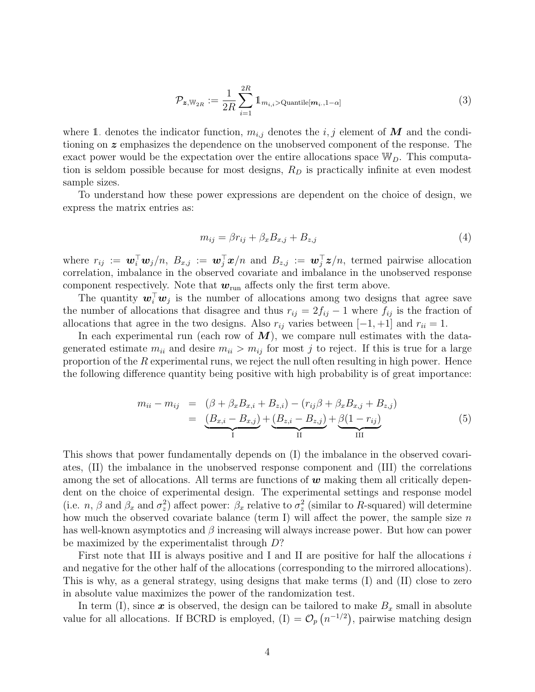<span id="page-3-0"></span>
$$
\mathcal{P}_{\mathbf{z}, \mathbb{W}_{2R}} := \frac{1}{2R} \sum_{i=1}^{2R} \mathbb{1}_{m_{i,i} > \text{Quantile}[m_i, 1-\alpha]}
$$
(3)

where 1. denotes the indicator function,  $m_{i,j}$  denotes the  $i, j$  element of M and the conditioning on z emphasizes the dependence on the unobserved component of the response. The exact power would be the expectation over the entire allocations space  $\mathbb{W}_D$ . This computation is seldom possible because for most designs,  $R_D$  is practically infinite at even modest sample sizes.

To understand how these power expressions are dependent on the choice of design, we express the matrix entries as:

$$
m_{ij} = \beta r_{ij} + \beta_x B_{x,j} + B_{z,j} \tag{4}
$$

where  $r_{ij} := \boldsymbol{w}_i^{\top} \boldsymbol{w}_j/n$ ,  $B_{x,j} := \boldsymbol{w}_j^{\top} \boldsymbol{x}/n$  and  $B_{z,j} := \boldsymbol{w}_j^{\top} \boldsymbol{z}/n$ , termed pairwise allocation correlation, imbalance in the observed covariate and imbalance in the unobserved response component respectively. Note that  $w_{\text{run}}$  affects only the first term above.

The quantity  $\mathbf{w}_i^{\top} \mathbf{w}_j$  is the number of allocations among two designs that agree save the number of allocations that disagree and thus  $r_{ij} = 2f_{ij} - 1$  where  $f_{ij}$  is the fraction of allocations that agree in the two designs. Also  $r_{ij}$  varies between [−1, +1] and  $r_{ii} = 1$ .

In each experimental run (each row of  $M$ ), we compare null estimates with the datagenerated estimate  $m_{ii}$  and desire  $m_{ii} > m_{ij}$  for most j to reject. If this is true for a large proportion of the  $R$  experimental runs, we reject the null often resulting in high power. Hence the following difference quantity being positive with high probability is of great importance:

<span id="page-3-1"></span>
$$
m_{ii} - m_{ij} = (\beta + \beta_x B_{x,i} + B_{z,i}) - (r_{ij}\beta + \beta_x B_{x,j} + B_{z,j})
$$
  
= 
$$
\underbrace{(B_{x,i} - B_{x,j})}_{I} + \underbrace{(B_{z,i} - B_{z,j})}_{II} + \underbrace{\beta(1 - r_{ij})}_{III}
$$
 (5)

This shows that power fundamentally depends on (I) the imbalance in the observed covariates, (II) the imbalance in the unobserved response component and (III) the correlations among the set of allocations. All terms are functions of  $w$  making them all critically dependent on the choice of experimental design. The experimental settings and response model (i.e. *n*,  $\beta$  and  $\beta_x$  and  $\sigma_z^2$ ) affect power:  $\beta_x$  relative to  $\sigma_z^2$  (similar to R-squared) will determine how much the observed covariate balance (term I) will affect the power, the sample size  $n$ has well-known asymptotics and  $\beta$  increasing will always increase power. But how can power be maximized by the experimentalist through D?

First note that III is always positive and I and II are positive for half the allocations  $i$ and negative for the other half of the allocations (corresponding to the mirrored allocations). This is why, as a general strategy, using designs that make terms (I) and (II) close to zero in absolute value maximizes the power of the randomization test.

In term (I), since x is observed, the design can be tailored to make  $B_x$  small in absolute value for all allocations. If BCRD is employed,  $(I) = \mathcal{O}_p(n^{-1/2})$ , pairwise matching design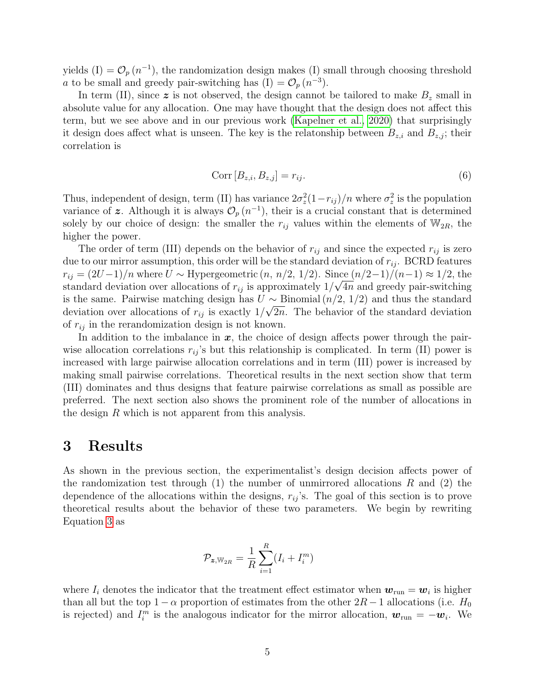yields  $(I) = \mathcal{O}_p(n^{-1})$ , the randomization design makes (I) small through choosing threshold *a* to be small and greedy pair-switching has  $(I) = \mathcal{O}_p(n^{-3})$ .

In term (II), since  $z$  is not observed, the design cannot be tailored to make  $B<sub>z</sub>$  small in absolute value for any allocation. One may have thought that the design does not affect this term, but we see above and in our previous work [\(Kapelner et al., 2020\)](#page-15-4) that surprisingly it design does affect what is unseen. The key is the relatonship between  $B_{z,i}$  and  $B_{z,j}$ ; their correlation is

<span id="page-4-1"></span>
$$
Corr [B_{z,i}, B_{z,j}] = r_{ij}.
$$
\n<sup>(6)</sup>

Thus, independent of design, term (II) has variance  $2\sigma_z^2(1-r_{ij})/n$  where  $\sigma_z^2$  is the population variance of z. Although it is always  $\mathcal{O}_p(n^{-1})$ , their is a crucial constant that is determined solely by our choice of design: the smaller the  $r_{ij}$  values within the elements of  $W_{2R}$ , the higher the power.

The order of term (III) depends on the behavior of  $r_{ij}$  and since the expected  $r_{ij}$  is zero due to our mirror assumption, this order will be the standard deviation of  $r_{ij}$ . BCRD features  $r_{ij} = (2U-1)/n$  where  $U \sim$  Hypergeometric  $(n, n/2, 1/2)$ . Since  $(n/2-1)/(n-1) \approx 1/2$ , the standard deviation over allocations of  $r_{ij}$  is approximately  $1/\sqrt{4n}$  and greedy pair-switching is the same. Pairwise matching design has  $U \sim \text{Binomial}(n/2, 1/2)$  and thus the standard deviation over allocations of  $r_{ij}$  is exactly  $1/\sqrt{2n}$ . The behavior of the standard deviation of  $r_{ij}$  in the rerandomization design is not known.

In addition to the imbalance in  $x$ , the choice of design affects power through the pairwise allocation correlations  $r_{ij}$ 's but this relationship is complicated. In term (II) power is increased with large pairwise allocation correlations and in term (III) power is increased by making small pairwise correlations. Theoretical results in the next section show that term (III) dominates and thus designs that feature pairwise correlations as small as possible are preferred. The next section also shows the prominent role of the number of allocations in the design R which is not apparent from this analysis.

### <span id="page-4-0"></span>3 Results

As shown in the previous section, the experimentalist's design decision affects power of the randomization test through  $(1)$  the number of unmirrored allocations R and  $(2)$  the dependence of the allocations within the designs,  $r_{ij}$ 's. The goal of this section is to prove theoretical results about the behavior of these two parameters. We begin by rewriting Equation [3](#page-3-0) as

$$
\mathcal{P}_{\bm{z}, \mathbb{W}_{2R}} = \frac{1}{R} \sum_{i=1}^{R} (I_i + I_i^m)
$$

where  $I_i$  denotes the indicator that the treatment effect estimator when  $w_{\text{run}} = w_i$  is higher than all but the top  $1 - \alpha$  proportion of estimates from the other  $2R - 1$  allocations (i.e.  $H_0$ ) is rejected) and  $I_i^m$  is the analogous indicator for the mirror allocation,  $\mathbf{w}_{run} = -\mathbf{w}_i$ . We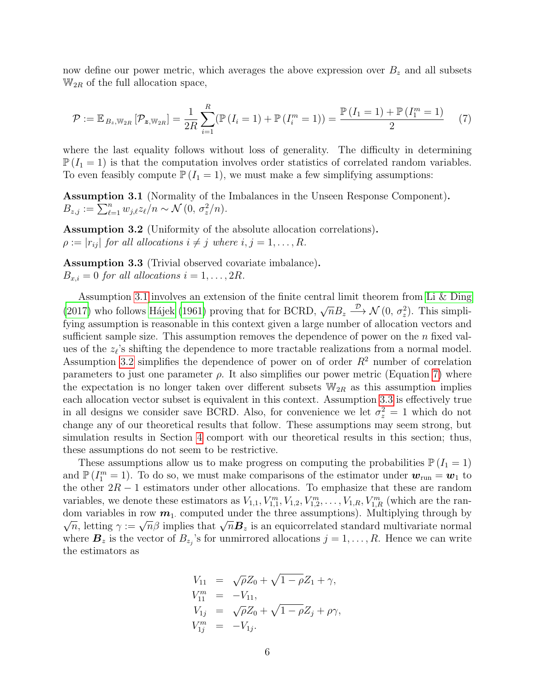now define our power metric, which averages the above expression over  $B<sub>z</sub>$  and all subsets  $\mathbb{W}_{2R}$  of the full allocation space,

<span id="page-5-2"></span>
$$
\mathcal{P} := \mathbb{E}_{B_z, \mathbb{W}_{2R}} \left[ \mathcal{P}_{z, \mathbb{W}_{2R}} \right] = \frac{1}{2R} \sum_{i=1}^{R} (\mathbb{P} \left( I_i = 1 \right) + \mathbb{P} \left( I_i^m = 1 \right)) = \frac{\mathbb{P} \left( I_1 = 1 \right) + \mathbb{P} \left( I_1^m = 1 \right)}{2} \tag{7}
$$

where the last equality follows without loss of generality. The difficulty in determining  $\mathbb{P}(I_1 = 1)$  is that the computation involves order statistics of correlated random variables. To even feasibly compute  $\mathbb{P}(I_1 = 1)$ , we must make a few simplifying assumptions:

<span id="page-5-0"></span>Assumption 3.1 (Normality of the Imbalances in the Unseen Response Component).  $B_{z,j} := \sum_{\ell=1}^n w_{j,\ell} z_{\ell} / n \sim \mathcal{N}(0, \sigma_z^2 / n).$ 

<span id="page-5-1"></span>Assumption 3.2 (Uniformity of the absolute allocation correlations).  $\rho := |r_{ij}|$  for all allocations  $i \neq j$  where  $i, j = 1, \ldots, R$ .

<span id="page-5-3"></span>Assumption 3.3 (Trivial observed covariate imbalance).  $B_{x,i} = 0$  for all allocations  $i = 1, \ldots, 2R$ .

Assumption [3.1](#page-5-0) involves an extension of the finite central limit theorem from [Li & Ding](#page-15-6) [\(2017\)](#page-15-6) who follows Hájek [\(1961\)](#page-14-2) proving that for BCRD,  $\sqrt{n}B_z \stackrel{\mathcal{D}}{\longrightarrow} \mathcal{N}(0, \sigma_z^2)$ . This simplifying assumption is reasonable in this context given a large number of allocation vectors and sufficient sample size. This assumption removes the dependence of power on the  $n$  fixed values of the  $z_{\ell}$ 's shifting the dependence to more tractable realizations from a normal model. Assumption [3.2](#page-5-1) simplifies the dependence of power on of order  $R<sup>2</sup>$  number of correlation parameters to just one parameter  $\rho$ . It also simplifies our power metric (Equation [7\)](#page-5-2) where the expectation is no longer taken over different subsets  $W_{2R}$  as this assumption implies each allocation vector subset is equivalent in this context. Assumption [3.3](#page-5-3) is effectively true in all designs we consider save BCRD. Also, for convenience we let  $\sigma_z^2 = 1$  which do not change any of our theoretical results that follow. These assumptions may seem strong, but simulation results in Section [4](#page-8-0) comport with our theoretical results in this section; thus, these assumptions do not seem to be restrictive.

These assumptions allow us to make progress on computing the probabilities  $\mathbb{P}(I_1 = 1)$ and  $\mathbb{P}(I_1^m = 1)$ . To do so, we must make comparisons of the estimator under  $\mathbf{w}_{\text{run}} = \mathbf{w}_1$  to the other  $2R - 1$  estimators under other allocations. To emphasize that these are random variables, we denote these estimators as  $V_{1,1}, V_{1,1}^m, V_{1,2}, V_{1,2}^m, \ldots, V_{1,R}, V_{1,R}^m$  (which are the random variables in row  $m_1$  computed under the three assumptions). Multiplying through by in variables in fow  $m_1$ , computed under the time assumptions). Multiplying through by  $\overline{n}$ , letting  $\gamma := \sqrt{n}\beta$  implies that  $\sqrt{n}B_z$  is an equicorrelated standard multivariate normal where  $\mathbf{B}_z$  is the vector of  $B_{z_j}$ 's for unmirrored allocations  $j = 1, \ldots, R$ . Hence we can write the estimators as

$$
V_{11} = \sqrt{\rho} Z_0 + \sqrt{1 - \rho} Z_1 + \gamma,
$$
  
\n
$$
V_{11}^m = -V_{11},
$$
  
\n
$$
V_{1j} = \sqrt{\rho} Z_0 + \sqrt{1 - \rho} Z_j + \rho \gamma,
$$
  
\n
$$
V_{1j}^m = -V_{1j}.
$$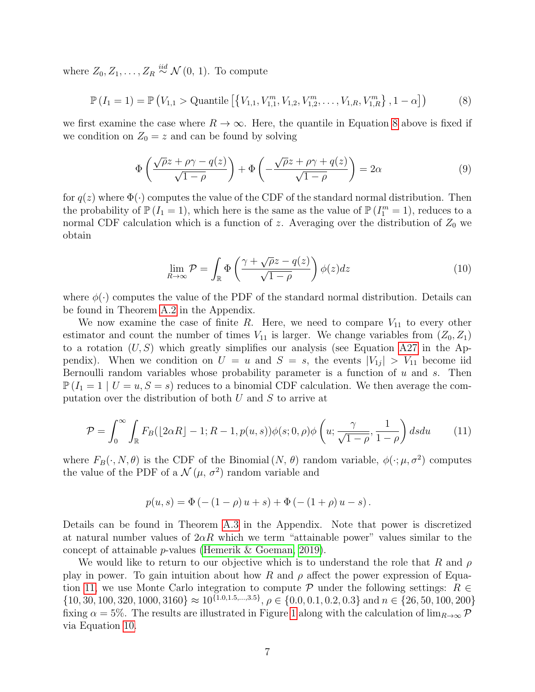where  $Z_0, Z_1, \ldots, Z_R \stackrel{iid}{\sim} \mathcal{N}(0, 1)$ . To compute

<span id="page-6-0"></span>
$$
\mathbb{P}\left(I_1 = 1\right) = \mathbb{P}\left(V_{1,1} > \text{Quantile}\left[\left\{V_{1,1}, V_{1,1}^m, V_{1,2}, V_{1,2}^m, \dots, V_{1,R}, V_{1,R}^m\right\}, 1 - \alpha\right]\right) \tag{8}
$$

we first examine the case where  $R \to \infty$ . Here, the quantile in Equation [8](#page-6-0) above is fixed if we condition on  $Z_0 = z$  and can be found by solving

<span id="page-6-3"></span>
$$
\Phi\left(\frac{\sqrt{\rho}z + \rho\gamma - q(z)}{\sqrt{1-\rho}}\right) + \Phi\left(-\frac{\sqrt{\rho}z + \rho\gamma + q(z)}{\sqrt{1-\rho}}\right) = 2\alpha\tag{9}
$$

for  $q(z)$  where  $\Phi(\cdot)$  computes the value of the CDF of the standard normal distribution. Then the probability of  $\mathbb{P}(I_1 = 1)$ , which here is the same as the value of  $\mathbb{P}(I_1^m = 1)$ , reduces to a normal CDF calculation which is a function of z. Averaging over the distribution of  $Z_0$  we obtain

<span id="page-6-2"></span>
$$
\lim_{R \to \infty} \mathcal{P} = \int_{\mathbb{R}} \Phi\left(\frac{\gamma + \sqrt{\rho}z - q(z)}{\sqrt{1 - \rho}}\right) \phi(z) dz \tag{10}
$$

where  $\phi(\cdot)$  computes the value of the PDF of the standard normal distribution. Details can be found in Theorem [A.2](#page-18-0) in the Appendix.

We now examine the case of finite R. Here, we need to compare  $V_{11}$  to every other estimator and count the number of times  $V_{11}$  is larger. We change variables from  $(Z_0, Z_1)$ to a rotation  $(U, S)$  which greatly simplifies our analysis (see Equation [A27](#page-20-0) in the Appendix). When we condition on  $U = u$  and  $S = s$ , the events  $|V_{1j}| > V_{11}$  become iid Bernoulli random variables whose probability parameter is a function of  $u$  and  $s$ . Then  $\mathbb{P}(I_1 = 1 \mid U = u, S = s)$  reduces to a binomial CDF calculation. We then average the computation over the distribution of both  $U$  and  $S$  to arrive at

<span id="page-6-1"></span>
$$
\mathcal{P} = \int_0^\infty \int_{\mathbb{R}} F_B(\lfloor 2\alpha R \rfloor - 1; R - 1, p(u, s)) \phi(s; 0, \rho) \phi\left(u; \frac{\gamma}{\sqrt{1 - \rho}}, \frac{1}{1 - \rho}\right) ds du \tag{11}
$$

where  $F_B(\cdot, N, \theta)$  is the CDF of the Binomial  $(N, \theta)$  random variable,  $\phi(\cdot; \mu, \sigma^2)$  computes the value of the PDF of a  $\mathcal{N}(\mu, \sigma^2)$  random variable and

$$
p(u, s) = \Phi(- (1 - \rho) u + s) + \Phi(- (1 + \rho) u - s).
$$

Details can be found in Theorem [A.3](#page-19-0) in the Appendix. Note that power is discretized at natural number values of  $2\alpha R$  which we term "attainable power" values similar to the concept of attainable p-values [\(Hemerik & Goeman, 2019\)](#page-14-3).

We would like to return to our objective which is to understand the role that R and  $\rho$ play in power. To gain intuition about how R and  $\rho$  affect the power expression of Equa-tion [11,](#page-6-1) we use Monte Carlo integration to compute  $\mathcal P$  under the following settings:  $R \in$  $\{10, 30, 100, 320, 1000, 3160\} \approx 10^{\{1.0, 1.5, ..., 3.5\}}, \rho \in \{0.0, 0.1, 0.2, 0.3\}$  and  $n \in \{26, 50, 100, 200\}$ fixing  $\alpha = 5\%$ . The results are illustrated in Figure [1](#page-7-0) along with the calculation of  $\lim_{R\to\infty} \mathcal{P}$ via Equation [10.](#page-6-2)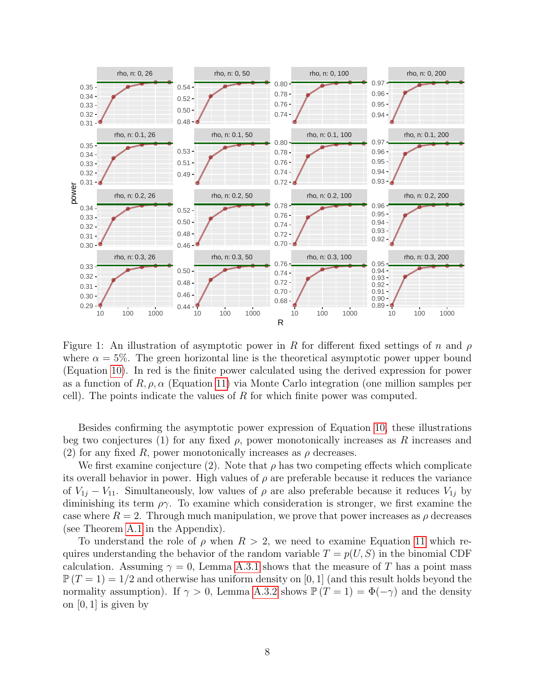<span id="page-7-0"></span>

Figure 1: An illustration of asymptotic power in R for different fixed settings of n and  $\rho$ where  $\alpha = 5\%$ . The green horizontal line is the theoretical asymptotic power upper bound (Equation [10\)](#page-6-2). In red is the finite power calculated using the derived expression for power as a function of  $R, \rho, \alpha$  (Equation [11\)](#page-6-1) via Monte Carlo integration (one million samples per cell). The points indicate the values of R for which finite power was computed.

Besides confirming the asymptotic power expression of Equation [10,](#page-6-2) these illustrations beg two conjectures (1) for any fixed  $\rho$ , power monotonically increases as R increases and (2) for any fixed R, power monotonically increases as  $\rho$  decreases.

We first examine conjecture (2). Note that  $\rho$  has two competing effects which complicate its overall behavior in power. High values of  $\rho$  are preferable because it reduces the variance of  $V_{1i} - V_{11}$ . Simultaneously, low values of  $\rho$  are also preferable because it reduces  $V_{1i}$  by diminishing its term  $\rho\gamma$ . To examine which consideration is stronger, we first examine the case where  $R = 2$ . Through much manipulation, we prove that power increases as  $\rho$  decreases (see Theorem [A.1](#page-16-0) in the Appendix).

To understand the role of  $\rho$  when  $R > 2$ , we need to examine Equation [11](#page-6-1) which requires understanding the behavior of the random variable  $T = p(U, S)$  in the binomial CDF calculation. Assuming  $\gamma = 0$ , Lemma [A.3.1](#page-21-0) shows that the measure of T has a point mass  $\mathbb{P}(T=1) = 1/2$  and otherwise has uniform density on [0, 1] (and this result holds beyond the normality assumption). If  $\gamma > 0$ , Lemma [A.3.2](#page-22-0) shows  $\mathbb{P}(T = 1) = \Phi(-\gamma)$  and the density on  $[0, 1]$  is given by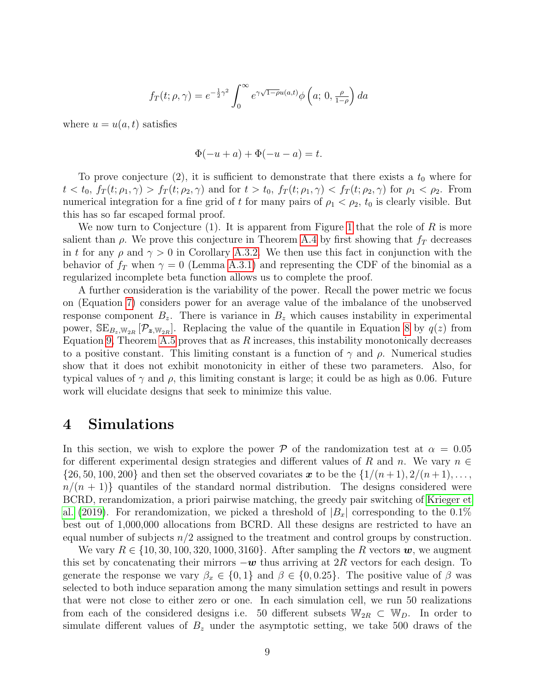$$
f_T(t; \rho, \gamma) = e^{-\frac{1}{2}\gamma^2} \int_0^\infty e^{\gamma \sqrt{1-\rho}u(a,t)} \phi\left(a; 0, \frac{\rho}{1-\rho}\right) da
$$

where  $u = u(a, t)$  satisfies

$$
\Phi(-u+a) + \Phi(-u-a) = t.
$$

To prove conjecture  $(2)$ , it is sufficient to demonstrate that there exists a  $t_0$  where for  $t < t_0, f_T(t; \rho_1, \gamma) > f_T(t; \rho_2, \gamma)$  and for  $t > t_0, f_T(t; \rho_1, \gamma) < f_T(t; \rho_2, \gamma)$  for  $\rho_1 < \rho_2$ . From numerical integration for a fine grid of t for many pairs of  $\rho_1 < \rho_2$ ,  $t_0$  is clearly visible. But this has so far escaped formal proof.

We now turn to Conjecture (1). It is apparent from Figure [1](#page-7-0) that the role of R is more salient than  $\rho$ . We prove this conjecture in Theorem [A.4](#page-25-0) by first showing that  $f_T$  decreases in t for any  $\rho$  and  $\gamma > 0$  in Corollary [A.3.2.](#page-24-0) We then use this fact in conjunction with the behavior of  $f_T$  when  $\gamma = 0$  (Lemma [A.3.1\)](#page-21-0) and representing the CDF of the binomial as a regularized incomplete beta function allows us to complete the proof.

A further consideration is the variability of the power. Recall the power metric we focus on (Equation [7\)](#page-5-2) considers power for an average value of the imbalance of the unobserved response component  $B_z$ . There is variance in  $B_z$  which causes instability in experimental power,  $SE_{B_z, W_{2R}}[\mathcal{P}_{z, W_{2R}}]$ . Replacing the value of the quantile in Equation [8](#page-6-0) by  $q(z)$  from Equation [9,](#page-6-3) Theorem [A.5](#page-26-0) proves that as  $R$  increases, this instability monotonically decreases to a positive constant. This limiting constant is a function of  $\gamma$  and  $\rho$ . Numerical studies show that it does not exhibit monotonicity in either of these two parameters. Also, for typical values of  $\gamma$  and  $\rho$ , this limiting constant is large; it could be as high as 0.06. Future work will elucidate designs that seek to minimize this value.

## <span id="page-8-0"></span>4 Simulations

In this section, we wish to explore the power P of the randomization test at  $\alpha = 0.05$ for different experimental design strategies and different values of R and n. We vary  $n \in$  $\{26, 50, 100, 200\}$  and then set the observed covariates x to be the  $\{1/(n+1), 2/(n+1), \ldots,$  $n/(n+1)$  quantiles of the standard normal distribution. The designs considered were BCRD, rerandomization, a priori pairwise matching, the greedy pair switching of [Krieger et](#page-15-2) [al.](#page-15-2) [\(2019\)](#page-15-2). For rerandomization, we picked a threshold of  $|B_x|$  corresponding to the 0.1% best out of 1,000,000 allocations from BCRD. All these designs are restricted to have an equal number of subjects  $n/2$  assigned to the treatment and control groups by construction.

We vary  $R \in \{10, 30, 100, 320, 1000, 3160\}$ . After sampling the R vectors  $w$ , we augment this set by concatenating their mirrors  $-w$  thus arriving at 2R vectors for each design. To generate the response we vary  $\beta_x \in \{0,1\}$  and  $\beta \in \{0,0.25\}$ . The positive value of  $\beta$  was selected to both induce separation among the many simulation settings and result in powers that were not close to either zero or one. In each simulation cell, we run 50 realizations from each of the considered designs i.e. 50 different subsets  $\mathbb{W}_{2R} \subset \mathbb{W}_D$ . In order to simulate different values of  $B<sub>z</sub>$  under the asymptotic setting, we take 500 draws of the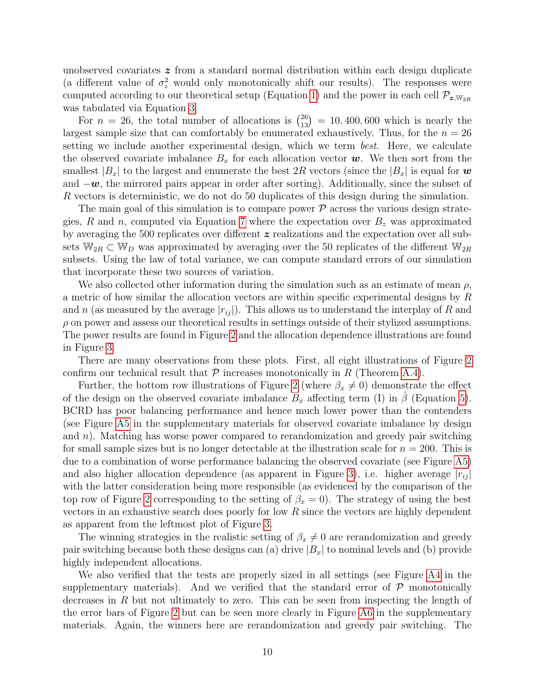unobserved covariates z from a standard normal distribution within each design duplicate (a different value of  $\sigma_z^2$  would only monotonically shift our results). The responses were computed according to our theoretical setup (Equation [1\)](#page-2-0) and the power in each cell  $\mathcal{P}_{z,\mathbb{W}_{2R}}$ was tabulated via Equation [3.](#page-3-0)

For  $n = 26$ , the total number of allocations is  $\binom{26}{13} = 10,400,600$  which is nearly the largest sample size that can comfortably be enumerated exhaustively. Thus, for the  $n = 26$ setting we include another experimental design, which we term *best*. Here, we calculate the observed covariate imbalance  $B_x$  for each allocation vector  $w$ . We then sort from the smallest  $|B_x|$  to the largest and enumerate the best 2R vectors (since the  $|B_x|$  is equal for w and  $-\boldsymbol{w}$ , the mirrored pairs appear in order after sorting). Additionally, since the subset of R vectors is deterministic, we do not do 50 duplicates of this design during the simulation.

The main goal of this simulation is to compare power  $P$  across the various design strate-gies, R and n, computed via Equation [7](#page-5-2) where the expectation over  $B<sub>z</sub>$  was approximated by averaging the 500 replicates over different z realizations and the expectation over all subsets  $\mathbb{W}_{2R} \subset \mathbb{W}_D$  was approximated by averaging over the 50 replicates of the different  $\mathbb{W}_{2R}$ subsets. Using the law of total variance, we can compute standard errors of our simulation that incorporate these two sources of variation.

We also collected other information during the simulation such as an estimate of mean  $\rho$ , a metric of how similar the allocation vectors are within specific experimental designs by R and n (as measured by the average  $|r_{ij}$ ). This allows us to understand the interplay of R and  $\rho$  on power and assess our theoretical results in settings outside of their stylized assumptions. The power results are found in Figure [2](#page-10-1) and the allocation dependence illustrations are found in Figure [3.](#page-11-0)

There are many observations from these plots. First, all eight illustrations of Figure [2](#page-10-1) confirm our technical result that  $P$  increases monotonically in R (Theorem [A.4\)](#page-25-0).

Further, the bottom row illustrations of Figure [2](#page-10-1) (where  $\beta_x \neq 0$ ) demonstrate the effect of the design on the observed covariate imbalance  $B_x$  affecting term (I) in  $\beta$  (Equation [5\)](#page-3-1). BCRD has poor balancing performance and hence much lower power than the contenders (see Figure [A5](#page-29-0) in the supplementary materials for observed covariate imbalance by design and  $n$ ). Matching has worse power compared to rerandomization and greedy pair switching for small sample sizes but is no longer detectable at the illustration scale for  $n = 200$ . This is due to a combination of worse performance balancing the observed covariate (see Figure [A5\)](#page-29-0) and also higher allocation dependence (as apparent in Figure [3\)](#page-11-0), i.e. higher average  $|r_{ij}|$ with the latter consideration being more responsible (as evidenced by the comparison of the top row of Figure [2](#page-10-1) corresponding to the setting of  $\beta_x = 0$ ). The strategy of using the best vectors in an exhaustive search does poorly for low  $R$  since the vectors are highly dependent as apparent from the leftmost plot of Figure [3.](#page-11-0)

The winning strategies in the realistic setting of  $\beta_x \neq 0$  are rerandomization and greedy pair switching because both these designs can (a) drive  $|B_x|$  to nominal levels and (b) provide highly independent allocations.

We also verified that the tests are properly sized in all settings (see Figure [A4](#page-28-0) in the supplementary materials). And we verified that the standard error of  $\mathcal{P}$  monotonically decreases in  $R$  but not ultimately to zero. This can be seen from inspecting the length of the error bars of Figure [2](#page-10-1) but can be seen more clearly in Figure [A6](#page-30-0) in the supplementary materials. Again, the winners here are rerandomization and greedy pair switching. The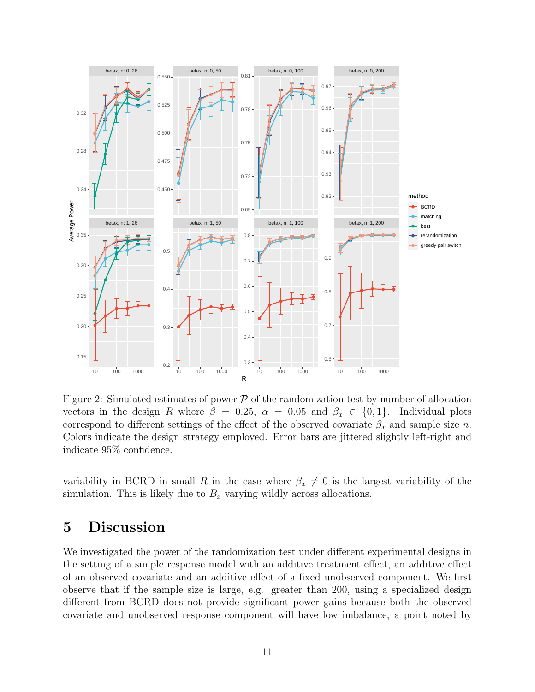<span id="page-10-1"></span>

Figure 2: Simulated estimates of power  $P$  of the randomization test by number of allocation vectors in the design R where  $\beta = 0.25$ ,  $\alpha = 0.05$  and  $\beta_x \in \{0, 1\}$ . Individual plots correspond to different settings of the effect of the observed covariate  $\beta_x$  and sample size n. Colors indicate the design strategy employed. Error bars are jittered slightly left-right and indicate 95% confidence.

variability in BCRD in small R in the case where  $\beta_x \neq 0$  is the largest variability of the simulation. This is likely due to  $B_x$  varying wildly across allocations.

## <span id="page-10-0"></span>5 Discussion

We investigated the power of the randomization test under different experimental designs in the setting of a simple response model with an additive treatment effect, an additive effect of an observed covariate and an additive effect of a fixed unobserved component. We first observe that if the sample size is large, e.g. greater than 200, using a specialized design different from BCRD does not provide significant power gains because both the observed covariate and unobserved response component will have low imbalance, a point noted by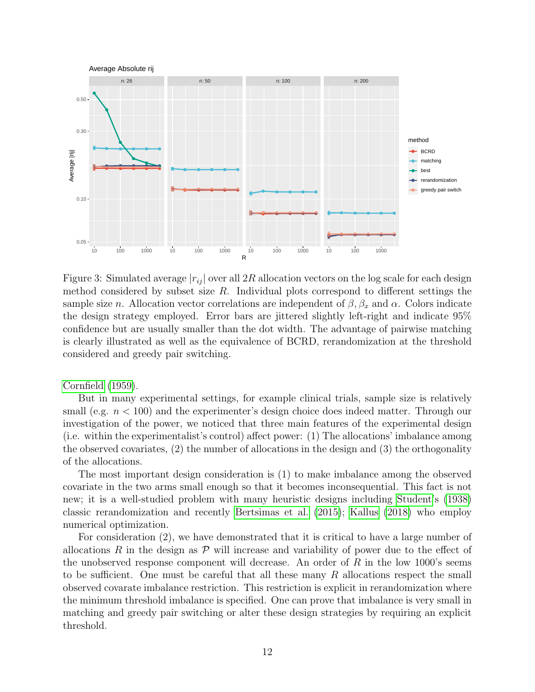<span id="page-11-0"></span>

Figure 3: Simulated average  $|r_{ij}|$  over all 2R allocation vectors on the log scale for each design method considered by subset size  $R$ . Individual plots correspond to different settings the sample size n. Allocation vector correlations are independent of  $\beta$ ,  $\beta_x$  and  $\alpha$ . Colors indicate the design strategy employed. Error bars are jittered slightly left-right and indicate 95% confidence but are usually smaller than the dot width. The advantage of pairwise matching is clearly illustrated as well as the equivalence of BCRD, rerandomization at the threshold considered and greedy pair switching.

[Cornfield](#page-14-4) [\(1959\)](#page-14-4).

But in many experimental settings, for example clinical trials, sample size is relatively small (e.g.  $n < 100$ ) and the experimenter's design choice does indeed matter. Through our investigation of the power, we noticed that three main features of the experimental design (i.e. within the experimentalist's control) affect power: (1) The allocations' imbalance among the observed covariates, (2) the number of allocations in the design and (3) the orthogonality of the allocations.

The most important design consideration is (1) to make imbalance among the observed covariate in the two arms small enough so that it becomes inconsequential. This fact is not new; it is a well-studied problem with many heuristic designs including [Student'](#page-15-7)s [\(1938\)](#page-15-7) classic rerandomization and recently [Bertsimas et al.](#page-14-5) [\(2015\)](#page-14-5); [Kallus](#page-14-6) [\(2018\)](#page-14-6) who employ numerical optimization.

For consideration (2), we have demonstrated that it is critical to have a large number of allocations R in the design as  $\mathcal P$  will increase and variability of power due to the effect of the unobserved response component will decrease. An order of  $R$  in the low 1000's seems to be sufficient. One must be careful that all these many  $R$  allocations respect the small observed covarate imbalance restriction. This restriction is explicit in rerandomization where the minimum threshold imbalance is specified. One can prove that imbalance is very small in matching and greedy pair switching or alter these design strategies by requiring an explicit threshold.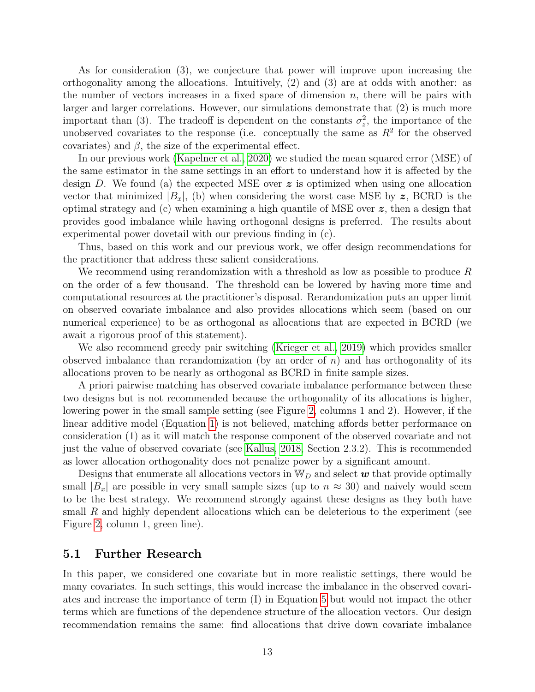As for consideration (3), we conjecture that power will improve upon increasing the orthogonality among the allocations. Intuitively, (2) and (3) are at odds with another: as the number of vectors increases in a fixed space of dimension  $n$ , there will be pairs with larger and larger correlations. However, our simulations demonstrate that (2) is much more important than (3). The tradeoff is dependent on the constants  $\sigma_z^2$ , the importance of the unobserved covariates to the response (i.e. conceptually the same as  $R<sup>2</sup>$  for the observed covariates) and  $\beta$ , the size of the experimental effect.

In our previous work [\(Kapelner et al., 2020\)](#page-15-4) we studied the mean squared error (MSE) of the same estimator in the same settings in an effort to understand how it is affected by the design D. We found (a) the expected MSE over  $\boldsymbol{z}$  is optimized when using one allocation vector that minimized  $|B_x|$ , (b) when considering the worst case MSE by z, BCRD is the optimal strategy and  $(c)$  when examining a high quantile of MSE over  $\boldsymbol{z}$ , then a design that provides good imbalance while having orthogonal designs is preferred. The results about experimental power dovetail with our previous finding in (c).

Thus, based on this work and our previous work, we offer design recommendations for the practitioner that address these salient considerations.

We recommend using rerandomization with a threshold as low as possible to produce  $R$ on the order of a few thousand. The threshold can be lowered by having more time and computational resources at the practitioner's disposal. Rerandomization puts an upper limit on observed covariate imbalance and also provides allocations which seem (based on our numerical experience) to be as orthogonal as allocations that are expected in BCRD (we await a rigorous proof of this statement).

We also recommend greedy pair switching [\(Krieger et al., 2019\)](#page-15-2) which provides smaller observed imbalance than rerandomization (by an order of  $n$ ) and has orthogonality of its allocations proven to be nearly as orthogonal as BCRD in finite sample sizes.

A priori pairwise matching has observed covariate imbalance performance between these two designs but is not recommended because the orthogonality of its allocations is higher, lowering power in the small sample setting (see Figure [2,](#page-10-1) columns 1 and 2). However, if the linear additive model (Equation [1\)](#page-2-0) is not believed, matching affords better performance on consideration (1) as it will match the response component of the observed covariate and not just the value of observed covariate (see [Kallus, 2018,](#page-14-6) Section 2.3.2). This is recommended as lower allocation orthogonality does not penalize power by a significant amount.

Designs that enumerate all allocations vectors in  $\mathbb{W}_D$  and select  $\boldsymbol{w}$  that provide optimally small  $|B_x|$  are possible in very small sample sizes (up to  $n \approx 30$ ) and naively would seem to be the best strategy. We recommend strongly against these designs as they both have small  $R$  and highly dependent allocations which can be deleterious to the experiment (see Figure [2,](#page-10-1) column 1, green line).

#### 5.1 Further Research

In this paper, we considered one covariate but in more realistic settings, there would be many covariates. In such settings, this would increase the imbalance in the observed covariates and increase the importance of term (I) in Equation [5](#page-3-1) but would not impact the other terms which are functions of the dependence structure of the allocation vectors. Our design recommendation remains the same: find allocations that drive down covariate imbalance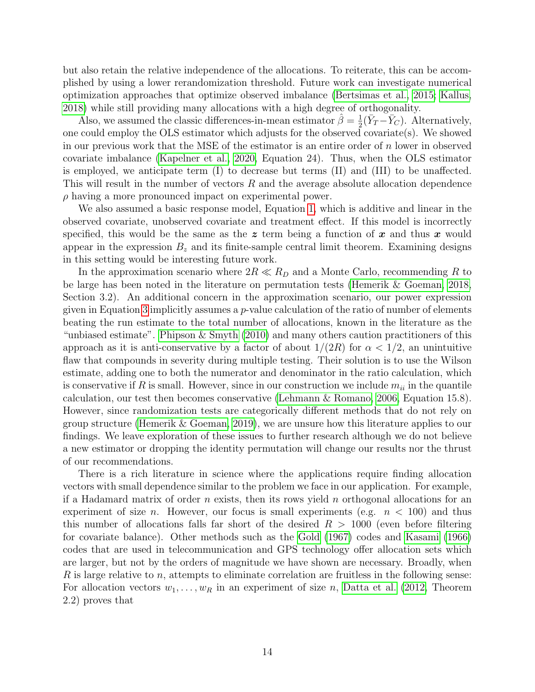but also retain the relative independence of the allocations. To reiterate, this can be accomplished by using a lower rerandomization threshold. Future work can investigate numerical optimization approaches that optimize observed imbalance [\(Bertsimas et al., 2015;](#page-14-5) [Kallus,](#page-14-6) [2018\)](#page-14-6) while still providing many allocations with a high degree of orthogonality.

Also, we assumed the classic differences-in-mean estimator  $\hat{\beta} = \frac{1}{2}$  $\frac{1}{2}(\bar{Y}_T - \bar{Y}_C)$ . Alternatively, one could employ the OLS estimator which adjusts for the observed covariate(s). We showed in our previous work that the MSE of the estimator is an entire order of  $n$  lower in observed covariate imbalance [\(Kapelner et al., 2020,](#page-15-4) Equation 24). Thus, when the OLS estimator is employed, we anticipate term (I) to decrease but terms (II) and (III) to be unaffected. This will result in the number of vectors R and the average absolute allocation dependence  $\rho$  having a more pronounced impact on experimental power.

We also assumed a basic response model, Equation [1,](#page-2-0) which is additive and linear in the observed covariate, unobserved covariate and treatment effect. If this model is incorrectly specified, this would be the same as the  $z$  term being a function of x and thus x would appear in the expression  $B<sub>z</sub>$  and its finite-sample central limit theorem. Examining designs in this setting would be interesting future work.

In the approximation scenario where  $2R \ll R_D$  and a Monte Carlo, recommending R to be large has been noted in the literature on permutation tests [\(Hemerik & Goeman, 2018,](#page-14-7) Section 3.2). An additional concern in the approximation scenario, our power expression given in Equation [3](#page-3-0) implicitly assumes a  $p$ -value calculation of the ratio of number of elements beating the run estimate to the total number of allocations, known in the literature as the "unbiased estimate". [Phipson & Smyth](#page-15-8) [\(2010\)](#page-15-8) and many others caution practitioners of this approach as it is anti-conservative by a factor of about  $1/(2R)$  for  $\alpha < 1/2$ , an unintuitive flaw that compounds in severity during multiple testing. Their solution is to use the Wilson estimate, adding one to both the numerator and denominator in the ratio calculation, which is conservative if R is small. However, since in our construction we include  $m_{ii}$  in the quantile calculation, our test then becomes conservative [\(Lehmann & Romano, 2006,](#page-15-5) Equation 15.8). However, since randomization tests are categorically different methods that do not rely on group structure [\(Hemerik & Goeman, 2019\)](#page-14-3), we are unsure how this literature applies to our findings. We leave exploration of these issues to further research although we do not believe a new estimator or dropping the identity permutation will change our results nor the thrust of our recommendations.

There is a rich literature in science where the applications require finding allocation vectors with small dependence similar to the problem we face in our application. For example, if a Hadamard matrix of order n exists, then its rows yield n orthogonal allocations for an experiment of size *n*. However, our focus is small experiments (e.g.  $n < 100$ ) and thus this number of allocations falls far short of the desired  $R > 1000$  (even before filtering for covariate balance). Other methods such as the [Gold](#page-14-8) [\(1967\)](#page-14-8) codes and [Kasami](#page-15-9) [\(1966\)](#page-15-9) codes that are used in telecommunication and GPS technology offer allocation sets which are larger, but not by the orders of magnitude we have shown are necessary. Broadly, when  $R$  is large relative to  $n$ , attempts to eliminate correlation are fruitless in the following sense: For allocation vectors  $w_1, \ldots, w_R$  in an experiment of size n, [Datta et al.](#page-14-9) [\(2012,](#page-14-9) Theorem 2.2) proves that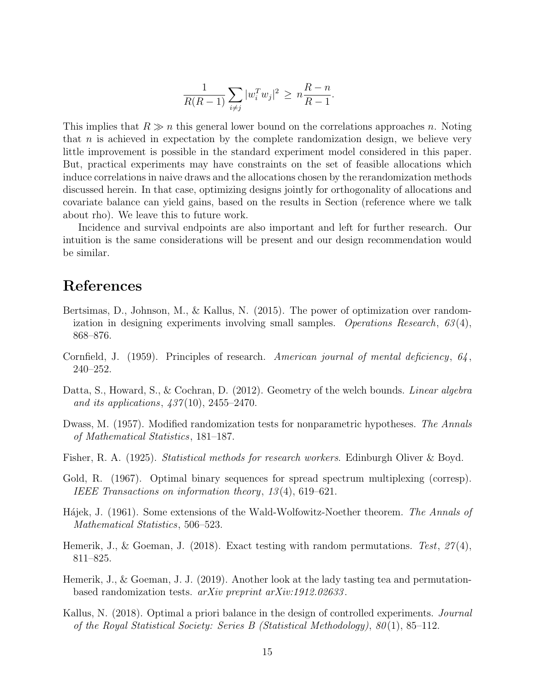$$
\frac{1}{R(R-1)} \sum_{i \neq j} |w_i^T w_j|^2 \ge n \frac{R-n}{R-1}.
$$

This implies that  $R \gg n$  this general lower bound on the correlations approaches n. Noting that  $n$  is achieved in expectation by the complete randomization design, we believe very little improvement is possible in the standard experiment model considered in this paper. But, practical experiments may have constraints on the set of feasible allocations which induce correlations in naive draws and the allocations chosen by the rerandomization methods discussed herein. In that case, optimizing designs jointly for orthogonality of allocations and covariate balance can yield gains, based on the results in Section (reference where we talk about rho). We leave this to future work.

Incidence and survival endpoints are also important and left for further research. Our intuition is the same considerations will be present and our design recommendation would be similar.

# References

- <span id="page-14-5"></span>Bertsimas, D., Johnson, M., & Kallus, N. (2015). The power of optimization over randomization in designing experiments involving small samples. Operations Research,  $63(4)$ , 868–876.
- <span id="page-14-4"></span>Cornfield, J. (1959). Principles of research. American journal of mental deficiency,  $64$ , 240–252.
- <span id="page-14-9"></span>Datta, S., Howard, S., & Cochran, D. (2012). Geometry of the welch bounds. *Linear algebra* and its applications,  $437(10)$ ,  $2455-2470$ .
- <span id="page-14-1"></span>Dwass, M. (1957). Modified randomization tests for nonparametric hypotheses. The Annals of Mathematical Statistics, 181–187.
- <span id="page-14-0"></span>Fisher, R. A. (1925). Statistical methods for research workers. Edinburgh Oliver & Boyd.
- <span id="page-14-8"></span>Gold, R. (1967). Optimal binary sequences for spread spectrum multiplexing (corresp). IEEE Transactions on information theory, 13 (4), 619–621.
- <span id="page-14-2"></span>Hájek, J. (1961). Some extensions of the Wald-Wolfowitz-Noether theorem. The Annals of Mathematical Statistics, 506–523.
- <span id="page-14-7"></span>Hemerik, J., & Goeman, J. (2018). Exact testing with random permutations. Test,  $27(4)$ , 811–825.
- <span id="page-14-3"></span>Hemerik, J., & Goeman, J. J. (2019). Another look at the lady tasting tea and permutationbased randomization tests. arXiv preprint arXiv:1912.02633 .
- <span id="page-14-6"></span>Kallus, N. (2018). Optimal a priori balance in the design of controlled experiments. *Journal* of the Royal Statistical Society: Series B (Statistical Methodology), 80 (1), 85–112.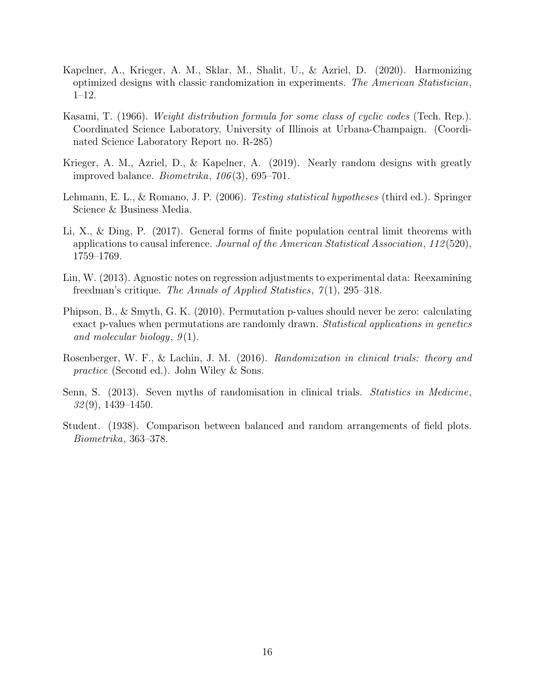- <span id="page-15-4"></span>Kapelner, A., Krieger, A. M., Sklar, M., Shalit, U., & Azriel, D. (2020). Harmonizing optimized designs with classic randomization in experiments. The American Statistician, 1–12.
- <span id="page-15-9"></span>Kasami, T. (1966). Weight distribution formula for some class of cyclic codes (Tech. Rep.). Coordinated Science Laboratory, University of Illinois at Urbana-Champaign. (Coordinated Science Laboratory Report no. R-285)
- <span id="page-15-2"></span>Krieger, A. M., Azriel, D., & Kapelner, A. (2019). Nearly random designs with greatly improved balance. *Biometrika*,  $106(3)$ , 695–701.
- <span id="page-15-5"></span>Lehmann, E. L., & Romano, J. P. (2006). *Testing statistical hypotheses* (third ed.). Springer Science & Business Media.
- <span id="page-15-6"></span>Li, X., & Ding, P. (2017). General forms of finite population central limit theorems with applications to causal inference. Journal of the American Statistical Association, 112 (520), 1759–1769.
- <span id="page-15-3"></span>Lin, W. (2013). Agnostic notes on regression adjustments to experimental data: Reexamining freedman's critique. The Annals of Applied Statistics,  $\mathcal{T}(1)$ , 295–318.
- <span id="page-15-8"></span>Phipson, B., & Smyth, G. K. (2010). Permutation p-values should never be zero: calculating exact p-values when permutations are randomly drawn. Statistical applications in genetics and molecular biology,  $9(1)$ .
- <span id="page-15-1"></span>Rosenberger, W. F., & Lachin, J. M. (2016). Randomization in clinical trials: theory and practice (Second ed.). John Wiley & Sons.
- <span id="page-15-0"></span>Senn, S. (2013). Seven myths of randomisation in clinical trials. Statistics in Medicine,  $32(9)$ , 1439–1450.
- <span id="page-15-7"></span>Student. (1938). Comparison between balanced and random arrangements of field plots. Biometrika, 363–378.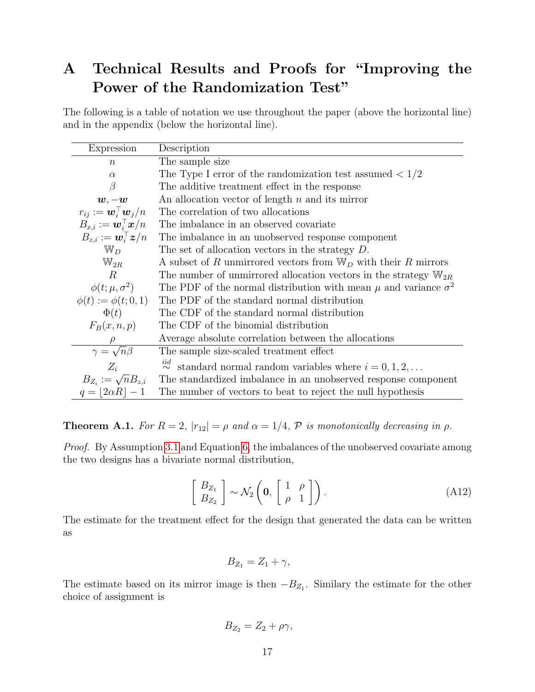# A Technical Results and Proofs for "Improving the Power of the Randomization Test"

The following is a table of notation we use throughout the paper (above the horizontal line) and in the appendix (below the horizontal line).

| Expression                                               | Description                                                                         |
|----------------------------------------------------------|-------------------------------------------------------------------------------------|
| $\boldsymbol{n}$                                         | The sample size                                                                     |
| $\alpha$                                                 | The Type I error of the randomization test assumed $\langle 1/2 \rangle$            |
| β                                                        | The additive treatment effect in the response                                       |
| $\boldsymbol{w},-\boldsymbol{w}$                         | An allocation vector of length $n$ and its mirror                                   |
| $r_{ij} := \boldsymbol{w}_i^{\top} \boldsymbol{w}_j / n$ | The correlation of two allocations                                                  |
| $B_{x,i} := \boldsymbol{w}_i^{\top} \boldsymbol{x}/n$    | The imbalance in an observed covariate                                              |
| $B_{z,i} := \boldsymbol{w}_i^{\top} \boldsymbol{z}/n$    | The imbalance in an unobserved response component                                   |
| $\mathbb{W}_D$                                           | The set of allocation vectors in the strategy $D$ .                                 |
| $\mathbb{W}_{2R}$                                        | A subset of R unmirrored vectors from $\mathbb{W}_D$ with their R mirrors           |
| $\boldsymbol{R}$                                         | The number of unmirrored allocation vectors in the strategy $\mathbb{W}_{2R}$       |
| $\phi(t;\mu,\sigma^2)$                                   | The PDF of the normal distribution with mean $\mu$ and variance $\sigma^2$          |
| $\phi(t) := \phi(t; 0, 1)$                               | The PDF of the standard normal distribution                                         |
| $\Phi(t)$                                                | The CDF of the standard normal distribution                                         |
| $F_B(x, n, p)$                                           | The CDF of the binomial distribution                                                |
|                                                          | Average absolute correlation between the allocations                                |
| $\frac{\rho}{\gamma = \sqrt{n}\beta}$                    | The sample size-scaled treatment effect                                             |
| $Z_i$                                                    | $\stackrel{iid}{\sim}$ standard normal random variables where $i = 0, 1, 2, \ldots$ |
| $B_{Z_i} := \sqrt{n} B_{z,i}$                            | The standardized imbalance in an unobserved response component                      |
| $q= 2\alpha R -1$                                        | The number of vectors to beat to reject the null hypothesis                         |

<span id="page-16-0"></span>**Theorem A.1.** For  $R = 2$ ,  $|r_{12}| = \rho$  and  $\alpha = 1/4$ ,  $P$  is monotonically decreasing in  $\rho$ .

Proof. By Assumption [3.1](#page-5-0) and Equation [6,](#page-4-1) the imbalances of the unobserved covariate among the two designs has a bivariate normal distribution,

$$
\left[\begin{array}{c} B_{Z_1} \\ B_{Z_2} \end{array}\right] \sim \mathcal{N}_2\left(\mathbf{0}, \left[\begin{array}{cc} 1 & \rho \\ \rho & 1 \end{array}\right]\right). \tag{A12}
$$

The estimate for the treatment effect for the design that generated the data can be written as

$$
B_{Z_1} = Z_1 + \gamma,
$$

The estimate based on its mirror image is then  $-B_{Z_1}$ . Similary the estimate for the other choice of assignment is

$$
B_{Z_2}=Z_2+\rho\gamma,
$$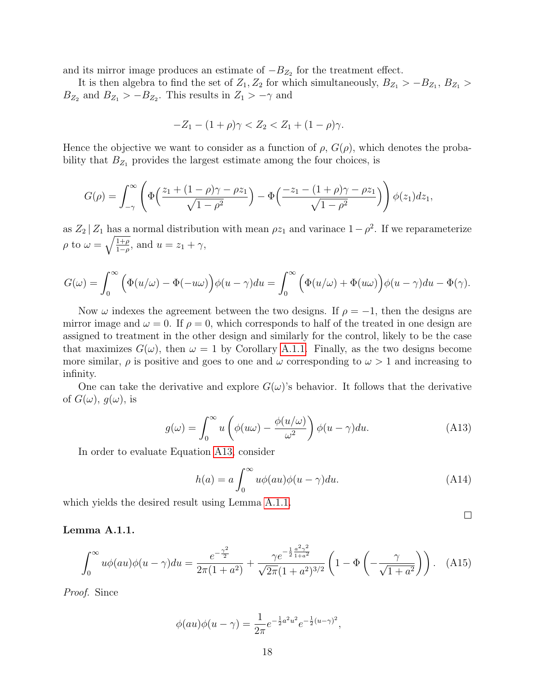and its mirror image produces an estimate of  $-B_{Z_2}$  for the treatment effect.

It is then algebra to find the set of  $Z_1, Z_2$  for which simultaneously,  $B_{Z_1} > -B_{Z_1}, B_{Z_1} >$  $B_{Z_2}$  and  $B_{Z_1} > -B_{Z_2}$ . This results in  $Z_1 > -\gamma$  and

$$
-Z_1 - (1+\rho)\gamma < Z_2 < Z_1 + (1-\rho)\gamma.
$$

Hence the objective we want to consider as a function of  $\rho$ ,  $G(\rho)$ , which denotes the probability that  $B_{Z_1}$  provides the largest estimate among the four choices, is

$$
G(\rho)=\int_{-\gamma}^{\infty}\left(\Phi\left(\frac{z_1+(1-\rho)\gamma-\rho z_1}{\sqrt{1-\rho^2}}\right)-\Phi\left(\frac{-z_1-(1+\rho)\gamma-\rho z_1}{\sqrt{1-\rho^2}}\right)\right)\phi(z_1)dz_1,
$$

as  $Z_2 | Z_1$  has a normal distribution with mean  $\rho z_1$  and varinace  $1 - \rho^2$ . If we reparameterize  $\rho$  to  $\omega = \sqrt{\frac{1+\rho}{1-\rho}}$ , and  $u = z_1 + \gamma$ ,

$$
G(\omega) = \int_0^\infty \left( \Phi(u/\omega) - \Phi(-u\omega) \right) \phi(u-\gamma) du = \int_0^\infty \left( \Phi(u/\omega) + \Phi(u\omega) \right) \phi(u-\gamma) du - \Phi(\gamma).
$$

Now  $\omega$  indexes the agreement between the two designs. If  $\rho = -1$ , then the designs are mirror image and  $\omega = 0$ . If  $\rho = 0$ , which corresponds to half of the treated in one design are assigned to treatment in the other design and similarly for the control, likely to be the case that maximizes  $G(\omega)$ , then  $\omega = 1$  by Corollary [A.1.1.](#page-18-1) Finally, as the two designs become more similar,  $\rho$  is positive and goes to one and  $\omega$  corresponding to  $\omega > 1$  and increasing to infinity.

One can take the derivative and explore  $G(\omega)$ 's behavior. It follows that the derivative of  $G(\omega)$ ,  $q(\omega)$ , is

<span id="page-17-0"></span>
$$
g(\omega) = \int_0^\infty u \left( \phi(u\omega) - \frac{\phi(u/\omega)}{\omega^2} \right) \phi(u-\gamma) du.
$$
 (A13)

In order to evaluate Equation [A13,](#page-17-0) consider

<span id="page-17-2"></span>
$$
h(a) = a \int_0^\infty u \phi(au) \phi(u - \gamma) du.
$$
 (A14)

which yields the desired result using Lemma [A.1.1.](#page-17-1)

#### <span id="page-17-1"></span>Lemma A.1.1.

<span id="page-17-3"></span>
$$
\int_0^\infty u\phi(au)\phi(u-\gamma)du = \frac{e^{-\frac{\gamma^2}{2}}}{2\pi(1+a^2)} + \frac{\gamma e^{-\frac{1}{2}\frac{a^2\gamma^2}{1+a^2}}}{\sqrt{2\pi}(1+a^2)^{3/2}} \left(1-\Phi\left(-\frac{\gamma}{\sqrt{1+a^2}}\right)\right). \quad (A15)
$$

Proof. Since

$$
\phi(au)\phi(u-\gamma) = \frac{1}{2\pi}e^{-\frac{1}{2}a^2u^2}e^{-\frac{1}{2}(u-\gamma)^2},
$$

 $\Box$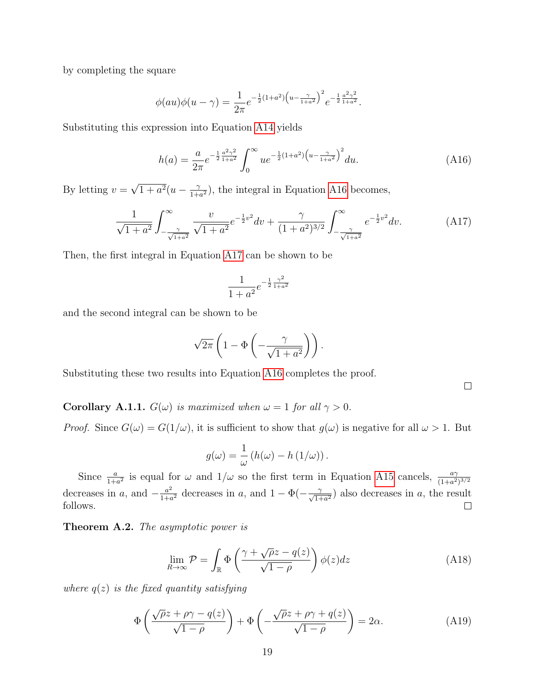by completing the square

$$
\phi(au)\phi(u-\gamma) = \frac{1}{2\pi}e^{-\frac{1}{2}(1+a^2)\left(u-\frac{\gamma}{1+a^2}\right)^2}e^{-\frac{1}{2}\frac{a^2\gamma^2}{1+a^2}}.
$$

Substituting this expression into Equation [A14](#page-17-2) yields

<span id="page-18-2"></span>
$$
h(a) = \frac{a}{2\pi} e^{-\frac{1}{2}\frac{a^2\gamma^2}{1+a^2}} \int_0^\infty u e^{-\frac{1}{2}(1+a^2)\left(u - \frac{\gamma}{1+a^2}\right)^2} du. \tag{A16}
$$

By letting  $v =$ √  $\sqrt{1+a^2}(u-\frac{\gamma}{1+a})$  $\frac{\gamma}{1+a^2}$ , the integral in Equation [A16](#page-18-2) becomes,

<span id="page-18-3"></span>
$$
\frac{1}{\sqrt{1+a^2}} \int_{-\frac{\gamma}{\sqrt{1+a^2}}}^{\infty} \frac{v}{\sqrt{1+a^2}} e^{-\frac{1}{2}v^2} dv + \frac{\gamma}{(1+a^2)^{3/2}} \int_{-\frac{\gamma}{\sqrt{1+a^2}}}^{\infty} e^{-\frac{1}{2}v^2} dv.
$$
 (A17)

Then, the first integral in Equation [A17](#page-18-3) can be shown to be

$$
\frac{1}{1+a^2}e^{-\frac{1}{2}\frac{\gamma^2}{1+a^2}}
$$

and the second integral can be shown to be

$$
\sqrt{2\pi}\left(1-\Phi\left(-\frac{\gamma}{\sqrt{1+a^2}}\right)\right).
$$

Substituting these two results into Equation [A16](#page-18-2) completes the proof.

 $\Box$ 

<span id="page-18-1"></span>**Corollary A.1.1.**  $G(\omega)$  is maximized when  $\omega = 1$  for all  $\gamma > 0$ .

*Proof.* Since  $G(\omega) = G(1/\omega)$ , it is sufficient to show that  $g(\omega)$  is negative for all  $\omega > 1$ . But

$$
g(\omega) = \frac{1}{\omega} (h(\omega) - h(1/\omega)).
$$

Since  $\frac{a}{1+a^2}$  is equal for  $\omega$  and  $1/\omega$  so the first term in Equation [A15](#page-17-3) cancels,  $\frac{a\gamma}{(1+a^2)^{3/2}}$ decreases in a, and  $-\frac{a^2}{1+a^2}$  $\frac{a^2}{1+a^2}$  decreases in a, and  $1-\Phi(-\frac{\gamma}{\sqrt{1+a^2}})$  also decreases in a, the result follows.  $\Box$ 

<span id="page-18-0"></span>Theorem A.2. The asymptotic power is

<span id="page-18-4"></span>
$$
\lim_{R \to \infty} \mathcal{P} = \int_{\mathbb{R}} \Phi\left(\frac{\gamma + \sqrt{\rho}z - q(z)}{\sqrt{1 - \rho}}\right) \phi(z) dz \tag{A18}
$$

where  $q(z)$  is the fixed quantity satisfying

<span id="page-18-5"></span>
$$
\Phi\left(\frac{\sqrt{\rho}z + \rho\gamma - q(z)}{\sqrt{1-\rho}}\right) + \Phi\left(-\frac{\sqrt{\rho}z + \rho\gamma + q(z)}{\sqrt{1-\rho}}\right) = 2\alpha.
$$
 (A19)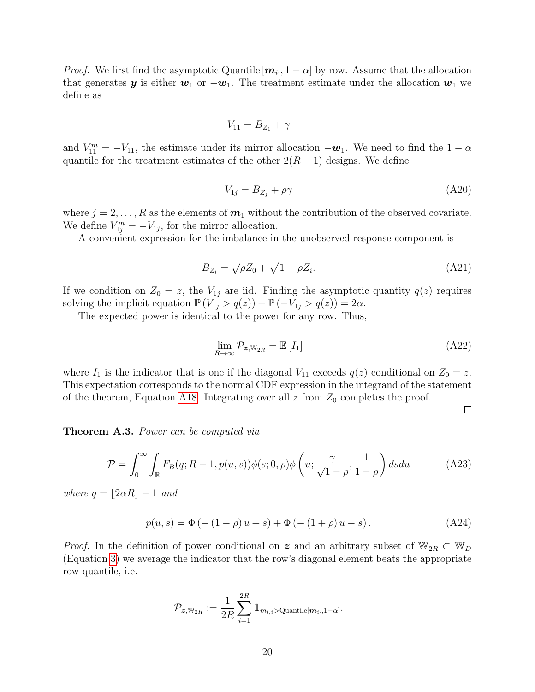*Proof.* We first find the asymptotic Quantile  $[m_i, 1 - \alpha]$  by row. Assume that the allocation that generates y is either  $w_1$  or  $-w_1$ . The treatment estimate under the allocation  $w_1$  we define as

$$
V_{11}=B_{Z_1}+\gamma
$$

and  $V_{11}^m = -V_{11}$ , the estimate under its mirror allocation  $-\boldsymbol{w}_1$ . We need to find the  $1-\alpha$ quantile for the treatment estimates of the other  $2(R-1)$  designs. We define

<span id="page-19-1"></span>
$$
V_{1j} = B_{Z_j} + \rho \gamma \tag{A20}
$$

where  $j = 2, \ldots, R$  as the elements of  $m_1$  without the contribution of the observed covariate. We define  $V_{1j}^m = -V_{1j}$ , for the mirror allocation.

A convenient expression for the imbalance in the unobserved response component is

<span id="page-19-2"></span>
$$
B_{Z_i} = \sqrt{\rho} Z_0 + \sqrt{1 - \rho} Z_i. \tag{A21}
$$

If we condition on  $Z_0 = z$ , the  $V_{1j}$  are iid. Finding the asymptotic quantity  $q(z)$  requires solving the implicit equation  $\mathbb{P}(V_{1j} > q(z)) + \mathbb{P}(-V_{1j} > q(z)) = 2\alpha$ .

The expected power is identical to the power for any row. Thus,

$$
\lim_{R \to \infty} \mathcal{P}_{\mathbf{z}, \mathbb{W}_{2R}} = \mathbb{E}\left[I_1\right] \tag{A22}
$$

where  $I_1$  is the indicator that is one if the diagonal  $V_{11}$  exceeds  $q(z)$  conditional on  $Z_0 = z$ . This expectation corresponds to the normal CDF expression in the integrand of the statement of the theorem, Equation [A18.](#page-18-4) Integrating over all  $z$  from  $Z_0$  completes the proof.

 $\Box$ 

<span id="page-19-0"></span>Theorem A.3. Power can be computed via

<span id="page-19-4"></span>
$$
\mathcal{P} = \int_0^\infty \int_{\mathbb{R}} F_B(q; R-1, p(u, s)) \phi(s; 0, \rho) \phi\left(u; \frac{\gamma}{\sqrt{1-\rho}}, \frac{1}{1-\rho}\right) ds du \tag{A23}
$$

where  $q = |2\alpha R| - 1$  and

<span id="page-19-3"></span>
$$
p(u, s) = \Phi(-(1 - \rho)u + s) + \Phi(-(1 + \rho)u - s).
$$
 (A24)

*Proof.* In the definition of power conditional on z and an arbitrary subset of  $\mathbb{W}_{2R} \subset \mathbb{W}_D$ (Equation [3\)](#page-3-0) we average the indicator that the row's diagonal element beats the appropriate row quantile, i.e.

$$
\mathcal{P}_{\bm{z},\mathbb{W}_{2R}}:=\frac{1}{2R}\sum_{i=1}^{2R}\mathbb{1}_{m_{i,i}>\mathrm{Quantile}[\bm{m}_{i\cdot},1-\alpha]}.
$$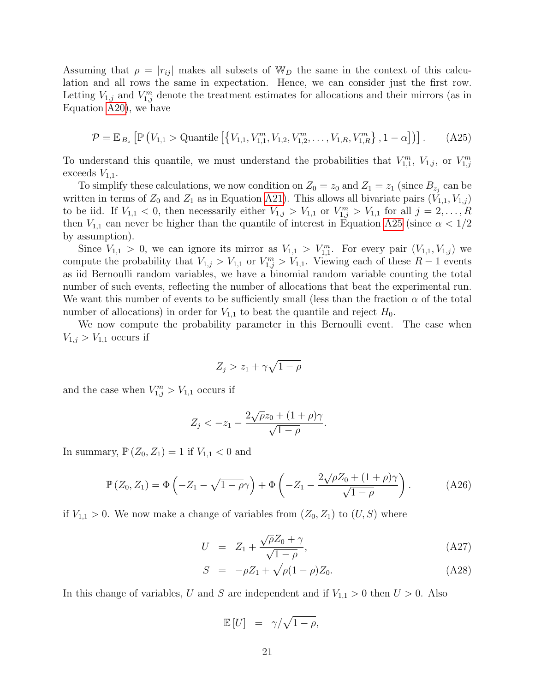Assuming that  $\rho = |r_{ij}|$  makes all subsets of W<sub>D</sub> the same in the context of this calculation and all rows the same in expectation. Hence, we can consider just the first row. Letting  $V_{1,j}$  and  $V_{1,j}^m$  denote the treatment estimates for allocations and their mirrors (as in Equation [A20\)](#page-19-1), we have

<span id="page-20-1"></span>
$$
\mathcal{P} = \mathbb{E}_{B_z} \left[ \mathbb{P} \left( V_{1,1} > \text{Quantile} \left[ \left\{ V_{1,1}, V_{1,1}^m, V_{1,2}, V_{1,2}^m, \dots, V_{1,R}, V_{1,R}^m \right\}, 1 - \alpha \right] \right) \right]. \tag{A25}
$$

To understand this quantile, we must understand the probabilities that  $V_{1,1}^m$ ,  $V_{1,j}$ , or  $V_{1,j}^m$ exceeds  $V_{1,1}$ .

To simplify these calculations, we now condition on  $Z_0 = z_0$  and  $Z_1 = z_1$  (since  $B_{z_j}$  can be written in terms of  $Z_0$  and  $Z_1$  as in Equation [A21\)](#page-19-2). This allows all bivariate pairs  $(V_{1,1}, V_{1,j})$ to be iid. If  $V_{1,1} < 0$ , then necessarily either  $V_{1,j} > V_{1,1}$  or  $V_{1,j}^m > V_{1,1}$  for all  $j = 2, \ldots, R$ then  $V_{1,1}$  can never be higher than the quantile of interest in Equation [A25](#page-20-1) (since  $\alpha < 1/2$ ) by assumption).

Since  $V_{1,1} > 0$ , we can ignore its mirror as  $V_{1,1} > V_{1,1}^m$ . For every pair  $(V_{1,1}, V_{1,j})$  we compute the probability that  $V_{1,j} > V_{1,1}$  or  $V_{1,j}^m > V_{1,1}$ . Viewing each of these  $R-1$  events as iid Bernoulli random variables, we have a binomial random variable counting the total number of such events, reflecting the number of allocations that beat the experimental run. We want this number of events to be sufficiently small (less than the fraction  $\alpha$  of the total number of allocations) in order for  $V_{1,1}$  to beat the quantile and reject  $H_0$ .

We now compute the probability parameter in this Bernoulli event. The case when  $V_{1,j} > V_{1,1}$  occurs if

$$
Z_j > z_1 + \gamma \sqrt{1 - \rho}
$$

and the case when  $V_{1,j}^m > V_{1,1}$  occurs if

$$
Z_j < -z_1 - \frac{2\sqrt{\rho}z_0 + (1+\rho)\gamma}{\sqrt{1-\rho}}.
$$

In summary,  $\mathbb{P}(Z_0, Z_1) = 1$  if  $V_{1,1} < 0$  and

<span id="page-20-2"></span>
$$
\mathbb{P}\left(Z_0, Z_1\right) = \Phi\left(-Z_1 - \sqrt{1-\rho}\gamma\right) + \Phi\left(-Z_1 - \frac{2\sqrt{\rho}Z_0 + (1+\rho)\gamma}{\sqrt{1-\rho}}\right). \tag{A26}
$$

if  $V_{1,1} > 0$ . We now make a change of variables from  $(Z_0, Z_1)$  to  $(U, S)$  where

<span id="page-20-0"></span>
$$
U = Z_1 + \frac{\sqrt{\rho}Z_0 + \gamma}{\sqrt{1 - \rho}}, \tag{A27}
$$

$$
S = -\rho Z_1 + \sqrt{\rho(1-\rho)} Z_0.
$$
 (A28)

In this change of variables, U and S are independent and if  $V_{1,1} > 0$  then  $U > 0$ . Also

$$
\mathbb{E}[U] = \gamma/\sqrt{1-\rho},
$$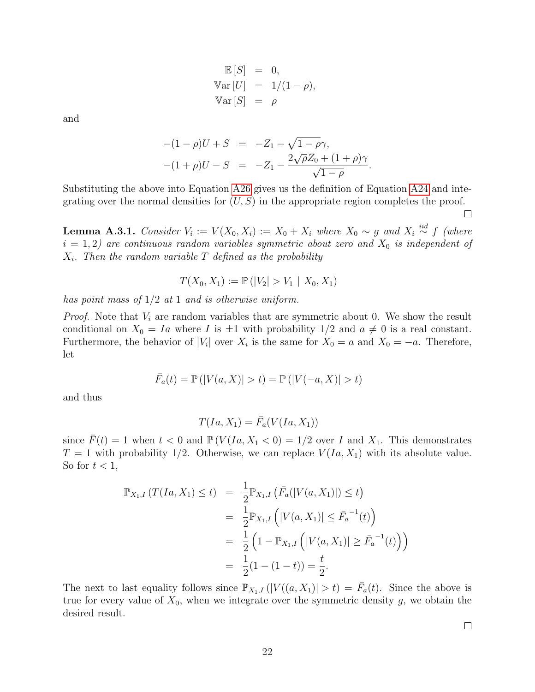$$
\mathbb{E}[S] = 0,
$$
  
\n
$$
\text{Var}[U] = 1/(1 - \rho),
$$
  
\n
$$
\text{Var}[S] = \rho
$$

and

$$
-(1 - \rho)U + S = -Z_1 - \sqrt{1 - \rho}\gamma,
$$
  
 
$$
-(1 + \rho)U - S = -Z_1 - \frac{2\sqrt{\rho}Z_0 + (1 + \rho)\gamma}{\sqrt{1 - \rho}}.
$$

Substituting the above into Equation [A26](#page-20-2) gives us the definition of Equation [A24](#page-19-3) and integrating over the normal densities for  $(U, S)$  in the appropriate region completes the proof.

<span id="page-21-0"></span>**Lemma A.3.1.** Consider  $V_i := V(X_0, X_i) := X_0 + X_i$  where  $X_0 \sim g$  and  $X_i \stackrel{iid}{\sim} f$  (where  $i = 1, 2$ ) are continuous random variables symmetric about zero and  $X_0$  is independent of  $X_i$ . Then the random variable T defined as the probability

$$
T(X_0, X_1) := \mathbb{P}(|V_2| > V_1 | X_0, X_1)
$$

has point mass of  $1/2$  at 1 and is otherwise uniform.

*Proof.* Note that  $V_i$  are random variables that are symmetric about 0. We show the result conditional on  $X_0 = I_a$  where I is  $\pm 1$  with probability  $1/2$  and  $a \neq 0$  is a real constant. Furthermore, the behavior of  $|V_i|$  over  $X_i$  is the same for  $X_0 = a$  and  $X_0 = -a$ . Therefore, let

$$
\bar{F}_a(t) = \mathbb{P}(|V(a, X)| > t) = \mathbb{P}(|V(-a, X)| > t)
$$

and thus

$$
T(Ia, X_1) = \bar{F}_a(V(Ia, X_1))
$$

since  $\bar{F}(t) = 1$  when  $t < 0$  and  $\mathbb{P}(V(Ia, X_1 < 0) = 1/2$  over I and  $X_1$ . This demonstrates  $T = 1$  with probability 1/2. Otherwise, we can replace  $V(Ia, X_1)$  with its absolute value. So for  $t < 1$ ,

$$
\mathbb{P}_{X_1,I}(T(Ia, X_1) \le t) = \frac{1}{2} \mathbb{P}_{X_1,I} (\bar{F}_a(|V(a, X_1)|) \le t)
$$
  
\n
$$
= \frac{1}{2} \mathbb{P}_{X_1,I} (|V(a, X_1)| \le \bar{F}_a^{-1}(t))
$$
  
\n
$$
= \frac{1}{2} (1 - \mathbb{P}_{X_1,I} (|V(a, X_1)| \ge \bar{F}_a^{-1}(t)))
$$
  
\n
$$
= \frac{1}{2} (1 - (1 - t)) = \frac{t}{2}.
$$

The next to last equality follows since  $\mathbb{P}_{X_1,I}(|V((a,X_1)|>t) = \overline{F}_a(t)$ . Since the above is true for every value of  $X_0$ , when we integrate over the symmetric density g, we obtain the desired result.

 $\Box$ 

 $\Box$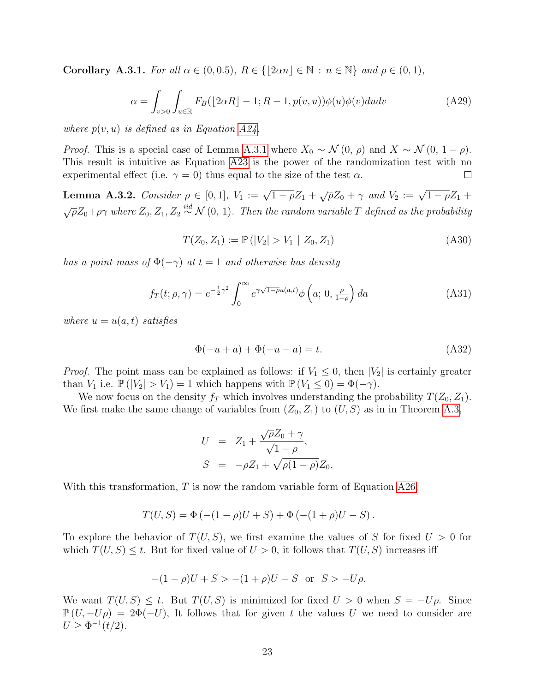<span id="page-22-4"></span>Corollary A.3.1. For all  $\alpha \in (0, 0.5)$ ,  $R \in \{|\overline{2\alpha}n| \in \mathbb{N} : n \in \mathbb{N}\}\$  and  $\rho \in (0, 1)$ ,

$$
\alpha = \int_{v>0} \int_{u \in \mathbb{R}} F_B(\lfloor 2\alpha R \rfloor - 1; R - 1, p(v, u)) \phi(u) \phi(v) du dv \tag{A29}
$$

where  $p(v, u)$  is defined as in Equation [A24.](#page-19-3)

*Proof.* This is a special case of Lemma [A.3.1](#page-21-0) where  $X_0 \sim \mathcal{N}(0, \rho)$  and  $X \sim \mathcal{N}(0, 1 - \rho)$ . This result is intuitive as Equation [A23](#page-19-4) is the power of the randomization test with no experimental effect (i.e.  $\gamma = 0$ ) thus equal to the size of the test  $\alpha$ . П

<span id="page-22-0"></span>**Lemma A.3.2.** Consider  $\rho \in [0, 1]$ ,  $V_1 := \sqrt{1 - \rho} Z_1 + \sqrt{\rho} Z_0 + \gamma$  and  $V_2 := \sqrt{1 - \rho} Z_1 + \sqrt{\rho} Z_2$  $\sqrt{\rho}Z_0 + \rho\gamma$  where  $Z_0, Z_1, Z_2 \stackrel{iid}{\sim} \mathcal{N}(0, 1)$ . Then the random variable T defined as the probability

<span id="page-22-2"></span>
$$
T(Z_0, Z_1) := \mathbb{P}(|V_2| > V_1 | Z_0, Z_1)
$$
\n(A30)

has a point mass of  $\Phi(-\gamma)$  at  $t=1$  and otherwise has density

<span id="page-22-3"></span>
$$
f_T(t; \rho, \gamma) = e^{-\frac{1}{2}\gamma^2} \int_0^\infty e^{\gamma\sqrt{1-\rho}u(a,t)} \phi\left(a; 0, \frac{\rho}{1-\rho}\right) da \tag{A31}
$$

where  $u = u(a, t)$  satisfies

<span id="page-22-1"></span>
$$
\Phi(-u+a) + \Phi(-u-a) = t.
$$
\n(A32)

*Proof.* The point mass can be explained as follows: if  $V_1 \leq 0$ , then  $|V_2|$  is certainly greater than  $V_1$  i.e.  $\mathbb{P}(|V_2| > V_1) = 1$  which happens with  $\mathbb{P}(V_1 \leq 0) = \Phi(-\gamma)$ .

We now focus on the density  $f_T$  which involves understanding the probability  $T(Z_0, Z_1)$ . We first make the same change of variables from  $(Z_0, Z_1)$  to  $(U, S)$  as in in Theorem [A.3,](#page-19-0)

$$
U = Z_1 + \frac{\sqrt{\rho}Z_0 + \gamma}{\sqrt{1 - \rho}},
$$
  
\n
$$
S = -\rho Z_1 + \sqrt{\rho(1 - \rho)}Z_0.
$$

With this transformation,  $T$  is now the random variable form of Equation [A26,](#page-20-2)

$$
T(U, S) = \Phi(-(1 - \rho)U + S) + \Phi(-(1 + \rho)U - S).
$$

To explore the behavior of  $T(U, S)$ , we first examine the values of S for fixed  $U > 0$  for which  $T(U, S) \leq t$ . But for fixed value of  $U > 0$ , it follows that  $T(U, S)$  increases iff

$$
-(1 - \rho)U + S > -(1 + \rho)U - S
$$
 or  $S > -U\rho$ .

We want  $T(U, S) \leq t$ . But  $T(U, S)$  is minimized for fixed  $U > 0$  when  $S = -U\rho$ . Since  $\mathbb{P}(U, -U\rho) = 2\Phi(-U)$ , It follows that for given t the values U we need to consider are  $U \geq \Phi^{-1}(t/2)$ .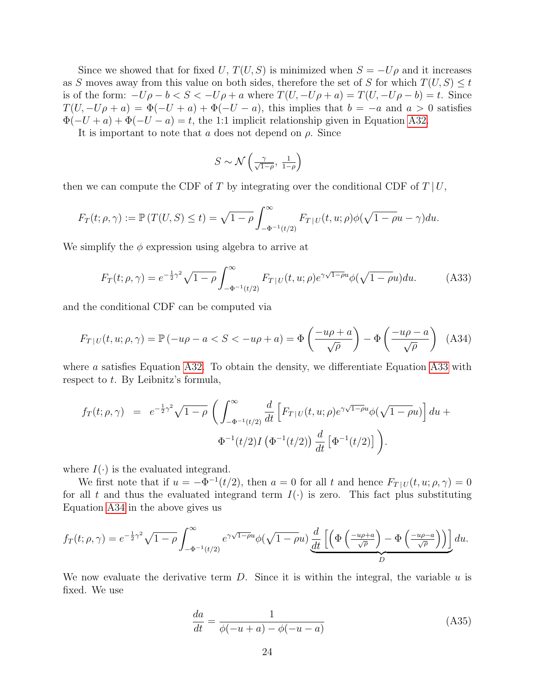Since we showed that for fixed U,  $T(U, S)$  is minimized when  $S = -U\rho$  and it increases as S moves away from this value on both sides, therefore the set of S for which  $T(U, S) \leq t$ is of the form:  $-U\rho - b < S < -U\rho + a$  where  $T(U, -U\rho + a) = T(U, -U\rho - b) = t$ . Since  $T(U, -U\rho + a) = \Phi(-U + a) + \Phi(-U - a)$ , this implies that  $b = -a$  and  $a > 0$  satisfies  $\Phi(-U + a) + \Phi(-U - a) = t$ , the 1:1 implicit relationship given in Equation [A32.](#page-22-1)

It is important to note that a does not depend on  $\rho$ . Since

$$
S \sim \mathcal{N}\left(\frac{\gamma}{\sqrt{1-\rho}}, \frac{1}{1-\rho}\right)
$$

then we can compute the CDF of T by integrating over the conditional CDF of  $T | U$ ,

$$
F_T(t; \rho, \gamma) := \mathbb{P}\left(T(U, S) \le t\right) = \sqrt{1-\rho} \int_{-\Phi^{-1}(t/2)}^{\infty} F_{T|U}(t, u; \rho) \phi(\sqrt{1-\rho}u - \gamma) du.
$$

We simplify the  $\phi$  expression using algebra to arrive at

<span id="page-23-0"></span>
$$
F_T(t; \rho, \gamma) = e^{-\frac{1}{2}\gamma^2} \sqrt{1 - \rho} \int_{-\Phi^{-1}(t/2)}^{\infty} F_{T|U}(t, u; \rho) e^{\gamma \sqrt{1 - \rho}u} \phi(\sqrt{1 - \rho}u) du.
$$
 (A33)

and the conditional CDF can be computed via

<span id="page-23-1"></span>
$$
F_{T|U}(t, u; \rho, \gamma) = \mathbb{P}(-u\rho - a < S < -u\rho + a) = \Phi\left(\frac{-u\rho + a}{\sqrt{\rho}}\right) - \Phi\left(\frac{-u\rho - a}{\sqrt{\rho}}\right) \tag{A34}
$$

where a satisfies Equation [A32.](#page-22-1) To obtain the density, we differentiate Equation [A33](#page-23-0) with respect to t. By Leibnitz's formula,

$$
f_T(t; \rho, \gamma) = e^{-\frac{1}{2}\gamma^2} \sqrt{1-\rho} \left( \int_{-\Phi^{-1}(t/2)}^{\infty} \frac{d}{dt} \left[ F_{T|U}(t, u; \rho) e^{\gamma \sqrt{1-\rho}u} \phi(\sqrt{1-\rho}u) \right] du +
$$
  

$$
\Phi^{-1}(t/2) I \left( \Phi^{-1}(t/2) \right) \frac{d}{dt} \left[ \Phi^{-1}(t/2) \right] \right).
$$

where  $I(\cdot)$  is the evaluated integrand.

We first note that if  $u = -\Phi^{-1}(t/2)$ , then  $a = 0$  for all t and hence  $F_{T|U}(t, u; \rho, \gamma) = 0$ for all t and thus the evaluated integrand term  $I(\cdot)$  is zero. This fact plus substituting Equation [A34](#page-23-1) in the above gives us

$$
f_T(t; \rho, \gamma) = e^{-\frac{1}{2}\gamma^2} \sqrt{1-\rho} \int_{-\Phi^{-1}(t/2)}^{\infty} e^{\gamma\sqrt{1-\rho}u} \phi(\sqrt{1-\rho}u) \frac{d}{dt} \left[ \left( \Phi\left(\frac{-u\rho+a}{\sqrt{\rho}}\right) - \Phi\left(\frac{-u\rho-a}{\sqrt{\rho}}\right) \right) \right] du.
$$

We now evaluate the derivative term  $D$ . Since it is within the integral, the variable  $u$  is fixed. We use

<span id="page-23-2"></span>
$$
\frac{da}{dt} = \frac{1}{\phi(-u+a) - \phi(-u-a)}\tag{A35}
$$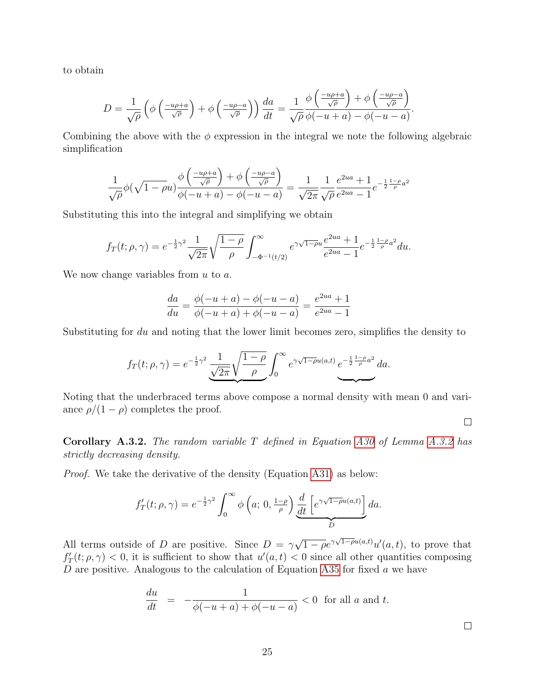to obtain

$$
D = \frac{1}{\sqrt{\rho}} \left( \phi \left( \frac{-u\rho + a}{\sqrt{\rho}} \right) + \phi \left( \frac{-u\rho - a}{\sqrt{\rho}} \right) \right) \frac{da}{dt} = \frac{1}{\sqrt{\rho}} \frac{\phi \left( \frac{-u\rho + a}{\sqrt{\rho}} \right) + \phi \left( \frac{-u\rho - a}{\sqrt{\rho}} \right)}{\phi \left( -u + a \right) - \phi \left( -u - a \right)}.
$$

Combining the above with the  $\phi$  expression in the integral we note the following algebraic simplification

$$
\frac{1}{\sqrt{\rho}}\phi(\sqrt{1-\rho}u)\frac{\phi\left(\frac{-u\rho+a}{\sqrt{\rho}}\right)+\phi\left(\frac{-u\rho-a}{\sqrt{\rho}}\right)}{\phi(-u+a)-\phi(-u-a)}=\frac{1}{\sqrt{2\pi}}\frac{1}{\sqrt{\rho}}\frac{e^{2ua}+1}{e^{2ua}-1}e^{-\frac{1}{2}\frac{1-\rho}{\rho}a^2}
$$

Substituting this into the integral and simplifying we obtain

$$
f_T(t; \rho, \gamma) = e^{-\frac{1}{2}\gamma^2} \frac{1}{\sqrt{2\pi}} \sqrt{\frac{1-\rho}{\rho}} \int_{-\Phi^{-1}(t/2)}^{\infty} e^{\gamma\sqrt{1-\rho}u} \frac{e^{2ua} + 1}{e^{2ua} - 1} e^{-\frac{1}{2}\frac{1-\rho}{\rho}a^2} du.
$$

We now change variables from  $u$  to  $a$ .

$$
\frac{da}{du} = \frac{\phi(-u+a) - \phi(-u-a)}{\phi(-u+a) + \phi(-u-a)} = \frac{e^{2ua} + 1}{e^{2ua} - 1}
$$

Substituting for du and noting that the lower limit becomes zero, simplifies the density to

$$
f_T(t; \rho, \gamma) = e^{-\frac{1}{2}\gamma^2} \underbrace{\frac{1}{\sqrt{2\pi}} \sqrt{\frac{1-\rho}{\rho}}} \int_0^\infty e^{\gamma\sqrt{1-\rho}u(a,t)} e^{-\frac{1}{2}\frac{1-\rho}{\rho}a^2} da.
$$

Noting that the underbraced terms above compose a normal density with mean 0 and variance  $\rho/(1-\rho)$  completes the proof.

 $\Box$ 

<span id="page-24-0"></span>Corollary A.3.2. The random variable T defined in Equation [A30](#page-22-2) of Lemma [A.3.2](#page-22-0) has strictly decreasing density.

Proof. We take the derivative of the density (Equation [A31\)](#page-22-3) as below:

$$
f'_T(t; \rho, \gamma) = e^{-\frac{1}{2}\gamma^2} \int_0^\infty \phi\left(a; 0, \frac{1-\rho}{\rho}\right) \underbrace{\frac{d}{dt} \left[e^{\gamma \sqrt{1-\rho}u(a,t)}\right]}_{D} da.
$$

All terms outside of D are positive. Since  $D = \gamma$  $\sqrt{1-\rho}e^{\gamma\sqrt{1-\rho}u(a,t)}u'(a,t)$ , to prove that  $f'_T(t; \rho, \gamma) < 0$ , it is sufficient to show that  $u'(a, t) < 0$  since all other quantities composing D are positive. Analogous to the calculation of Equation [A35](#page-23-2) for fixed  $a$  we have

$$
\frac{du}{dt} = -\frac{1}{\phi(-u+a) + \phi(-u-a)} < 0 \quad \text{for all } a \text{ and } t.
$$

 $\Box$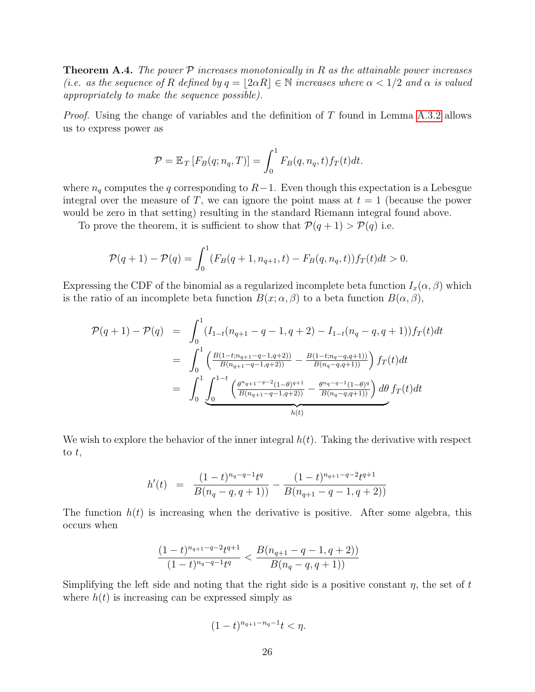<span id="page-25-0"></span>**Theorem A.4.** The power  $P$  increases monotonically in R as the attainable power increases (i.e. as the sequence of R defined by  $q = |2\alpha R| \in \mathbb{N}$  increases where  $\alpha < 1/2$  and  $\alpha$  is valued appropriately to make the sequence possible).

*Proof.* Using the change of variables and the definition of  $T$  found in Lemma [A.3.2](#page-22-0) allows us to express power as

$$
\mathcal{P} = \mathbb{E}_T \left[ F_B(q; n_q, T) \right] = \int_0^1 F_B(q, n_q, t) f_T(t) dt.
$$

where  $n_q$  computes the q corresponding to  $R-1$ . Even though this expectation is a Lebesgue integral over the measure of T, we can ignore the point mass at  $t = 1$  (because the power would be zero in that setting) resulting in the standard Riemann integral found above.

To prove the theorem, it is sufficient to show that  $\mathcal{P}(q+1) > \mathcal{P}(q)$  i.e.

$$
\mathcal{P}(q+1) - \mathcal{P}(q) = \int_0^1 (F_B(q+1, n_{q+1}, t) - F_B(q, n_q, t)) f_T(t) dt > 0.
$$

Expressing the CDF of the binomial as a regularized incomplete beta function  $I_x(\alpha, \beta)$  which is the ratio of an incomplete beta function  $B(x; \alpha, \beta)$  to a beta function  $B(\alpha, \beta)$ ,

$$
\mathcal{P}(q+1) - \mathcal{P}(q) = \int_0^1 (I_{1-t}(n_{q+1} - q - 1, q+2) - I_{1-t}(n_q - q, q+1)) f_T(t) dt
$$
  
\n
$$
= \int_0^1 \left( \frac{B(1-t; n_{q+1} - q - 1, q+2))}{B(n_{q+1} - q - 1, q+2)} - \frac{B(1-t; n_q - q, q+1))}{B(n_q - q, q+1)} \right) f_T(t) dt
$$
  
\n
$$
= \int_0^1 \underbrace{\int_0^{1-t} \left( \frac{\theta^n q + 1 - q - 2(1-\theta)q + 1}{B(n_q - q, q+1)} - \frac{\theta^n q - q - 1}{B(n_q - q, q+1)} \right) d\theta}_{h(t)} df_T(t) dt
$$

We wish to explore the behavior of the inner integral  $h(t)$ . Taking the derivative with respect to  $t$ ,

$$
h'(t) = \frac{(1-t)^{n_q-q-1}t^q}{B(n_q-q,q+1)} - \frac{(1-t)^{n_{q+1}-q-2}t^{q+1}}{B(n_{q+1}-q-1,q+2))}
$$

The function  $h(t)$  is increasing when the derivative is positive. After some algebra, this occurs when

$$
\frac{(1-t)^{n_{q+1}-q-2}t^{q+1}}{(1-t)^{n_q-q-1}t^q} < \frac{B(n_{q+1}-q-1,q+2))}{B(n_q-q,q+1)}
$$

Simplifying the left side and noting that the right side is a positive constant  $\eta$ , the set of t where  $h(t)$  is increasing can be expressed simply as

$$
(1-t)^{n_{q+1}-n_q-1}t < \eta.
$$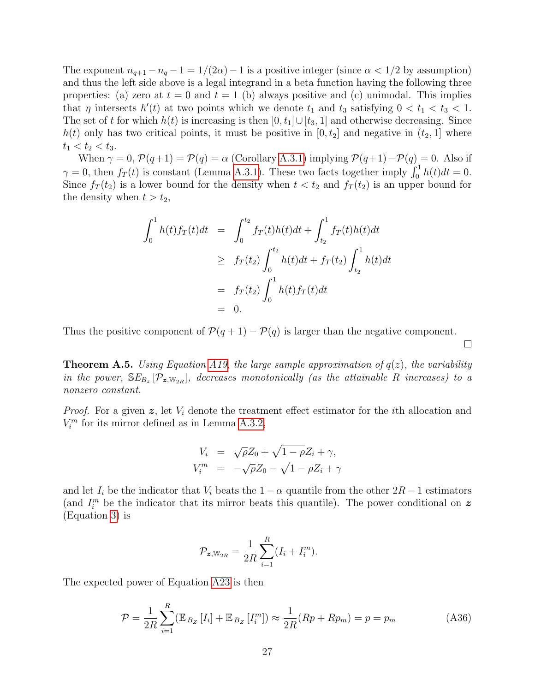The exponent  $n_{q+1} - n_q - 1 = 1/(2\alpha) - 1$  is a positive integer (since  $\alpha < 1/2$  by assumption) and thus the left side above is a legal integrand in a beta function having the following three properties: (a) zero at  $t = 0$  and  $t = 1$  (b) always positive and (c) unimodal. This implies that  $\eta$  intersects  $h'(t)$  at two points which we denote  $t_1$  and  $t_3$  satisfying  $0 < t_1 < t_3 < 1$ . The set of t for which  $h(t)$  is increasing is then  $[0, t_1] \cup [t_3, 1]$  and otherwise decreasing. Since  $h(t)$  only has two critical points, it must be positive in  $[0, t_2]$  and negative in  $(t_2, 1]$  where  $t_1 < t_2 < t_3$ .

When  $\gamma = 0$ ,  $\mathcal{P}(q+1) = \mathcal{P}(q) = \alpha$  (Corollary [A.3.1\)](#page-22-4) implying  $\mathcal{P}(q+1) - \mathcal{P}(q) = 0$ . Also if  $\gamma = 0$ , then  $f_T(t)$  is constant (Lemma [A.3.1\)](#page-21-0). These two facts together imply  $\int_0^1 h(t)dt = 0$ . Since  $f_T(t_2)$  is a lower bound for the density when  $t < t_2$  and  $f_T(t_2)$  is an upper bound for the density when  $t > t_2$ ,

$$
\int_0^1 h(t)f_T(t)dt = \int_0^{t_2} f_T(t)h(t)dt + \int_{t_2}^1 f_T(t)h(t)dt
$$
  
\n
$$
\geq f_T(t_2) \int_0^{t_2} h(t)dt + f_T(t_2) \int_{t_2}^1 h(t)dt
$$
  
\n
$$
= f_T(t_2) \int_0^1 h(t)f_T(t)dt
$$
  
\n
$$
= 0.
$$

Thus the positive component of  $\mathcal{P}(q+1) - \mathcal{P}(q)$  is larger than the negative component.

<span id="page-26-0"></span>**Theorem A.5.** Using Equation [A19,](#page-18-5) the large sample approximation of  $q(z)$ , the variability in the power,  $SE_{B_z}[\mathcal{P}_{z,w_{2R}}]$ , decreases monotonically (as the attainable R increases) to a nonzero constant.

 $\Box$ 

*Proof.* For a given  $z$ , let  $V_i$  denote the treatment effect estimator for the *i*th allocation and  $V_i^m$  for its mirror defined as in Lemma [A.3.2,](#page-22-0)

$$
V_i = \sqrt{\rho} Z_0 + \sqrt{1 - \rho} Z_i + \gamma,
$$
  
\n
$$
V_i^m = -\sqrt{\rho} Z_0 - \sqrt{1 - \rho} Z_i + \gamma
$$

and let  $I_i$  be the indicator that  $V_i$  beats the  $1 - \alpha$  quantile from the other  $2R - 1$  estimators (and  $I_i^m$  be the indicator that its mirror beats this quantile). The power conditional on z (Equation [3\)](#page-3-0) is

$$
\mathcal{P}_{\mathbf{z}, \mathbb{W}_{2R}} = \frac{1}{2R} \sum_{i=1}^{R} (I_i + I_i^m).
$$

The expected power of Equation [A23](#page-19-4) is then

<span id="page-26-1"></span>
$$
\mathcal{P} = \frac{1}{2R} \sum_{i=1}^{R} (\mathbb{E}_{B_Z} [I_i] + \mathbb{E}_{B_Z} [I_i^m]) \approx \frac{1}{2R} (Rp + Rp_m) = p = p_m
$$
\n(A36)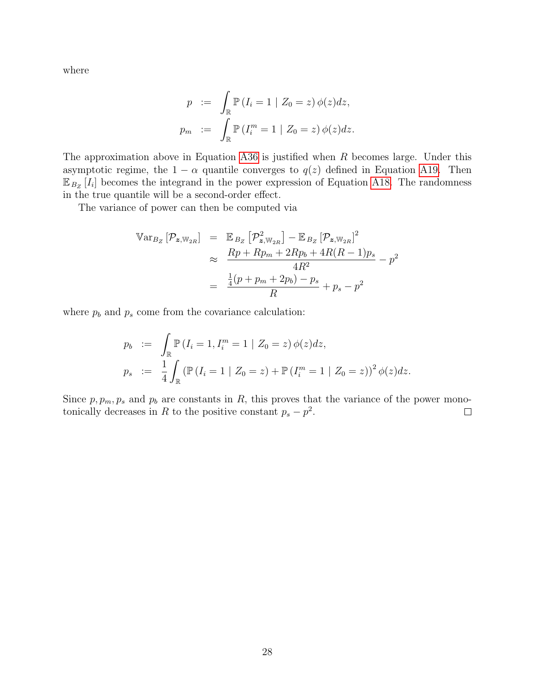where

$$
p := \int_{\mathbb{R}} \mathbb{P} (I_i = 1 | Z_0 = z) \phi(z) dz,
$$
  

$$
p_m := \int_{\mathbb{R}} \mathbb{P} (I_i^m = 1 | Z_0 = z) \phi(z) dz.
$$

The approximation above in Equation [A36](#page-26-1) is justified when R becomes large. Under this asymptotic regime, the  $1 - \alpha$  quantile converges to  $q(z)$  defined in Equation [A19.](#page-18-5) Then  $\mathbb{E}_{B_Z}[I_i]$  becomes the integrand in the power expression of Equation [A18.](#page-18-4) The randomness in the true quantile will be a second-order effect.

The variance of power can then be computed via

$$
\begin{array}{rcl}\n\mathbb{V}\text{ar}_{B_{Z}}\left[\mathcal{P}_{\mathbf{z},\mathbb{W}_{2R}}\right] &=& \mathbb{E}_{B_{Z}}\left[\mathcal{P}_{\mathbf{z},\mathbb{W}_{2R}}^{2}\right] - \mathbb{E}_{B_{Z}}\left[\mathcal{P}_{\mathbf{z},\mathbb{W}_{2R}}\right]^{2} \\
& & \approx & \frac{Rp + Rp_m + 2Rp_b + 4R(R - 1)p_s}{4R^2} - p^2 \\
& & = & \frac{\frac{1}{4}(p + p_m + 2p_b) - p_s}{R} + p_s - p^2\n\end{array}
$$

where  $p_b$  and  $p_s$  come from the covariance calculation:

$$
p_b := \int_{\mathbb{R}} \mathbb{P}(I_i = 1, I_i^m = 1 | Z_0 = z) \phi(z) dz,
$$
  
\n
$$
p_s := \frac{1}{4} \int_{\mathbb{R}} (\mathbb{P}(I_i = 1 | Z_0 = z) + \mathbb{P}(I_i^m = 1 | Z_0 = z))^2 \phi(z) dz.
$$

Since  $p, p_m, p_s$  and  $p_b$  are constants in R, this proves that the variance of the power monotonically decreases in R to the positive constant  $p_s - p^2$ .  $\Box$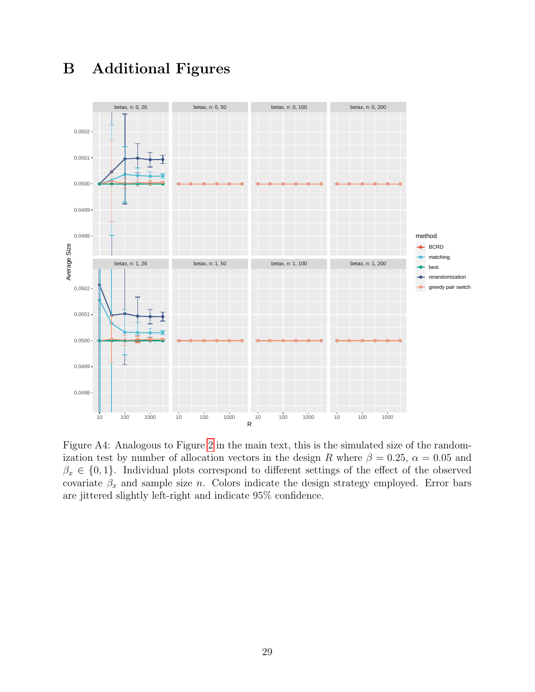<span id="page-28-0"></span>

# B Additional Figures

Figure A4: Analogous to Figure [2](#page-10-1) in the main text, this is the simulated size of the randomization test by number of allocation vectors in the design R where  $\beta = 0.25$ ,  $\alpha = 0.05$  and  $\beta_x \in \{0,1\}$ . Individual plots correspond to different settings of the effect of the observed covariate  $\beta_x$  and sample size n. Colors indicate the design strategy employed. Error bars are jittered slightly left-right and indicate 95% confidence.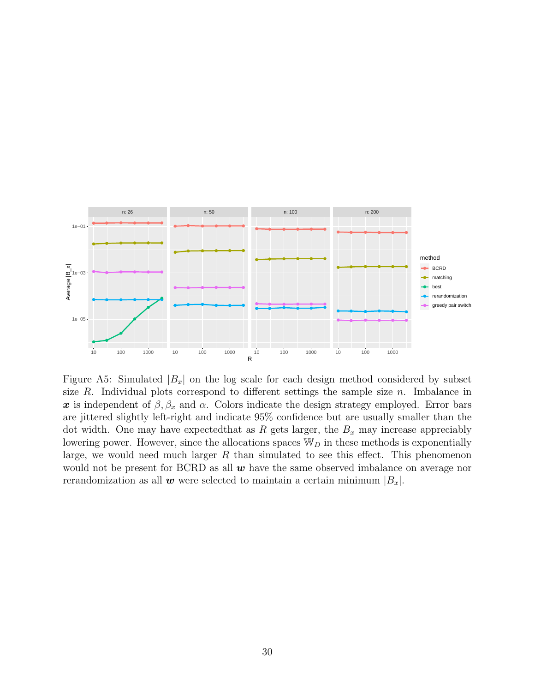<span id="page-29-0"></span>

Figure A5: Simulated  $|B_x|$  on the log scale for each design method considered by subset size R. Individual plots correspond to different settings the sample size  $n$ . Imbalance in x is independent of  $\beta$ ,  $\beta_x$  and  $\alpha$ . Colors indicate the design strategy employed. Error bars are jittered slightly left-right and indicate 95% confidence but are usually smaller than the dot width. One may have expected that as R gets larger, the  $B_x$  may increase appreciably lowering power. However, since the allocations spaces  $\mathbb{W}_D$  in these methods is exponentially large, we would need much larger  $R$  than simulated to see this effect. This phenomenon would not be present for BCRD as all  $w$  have the same observed imbalance on average nor rerandomization as all **w** were selected to maintain a certain minimum  $|B_x|$ .